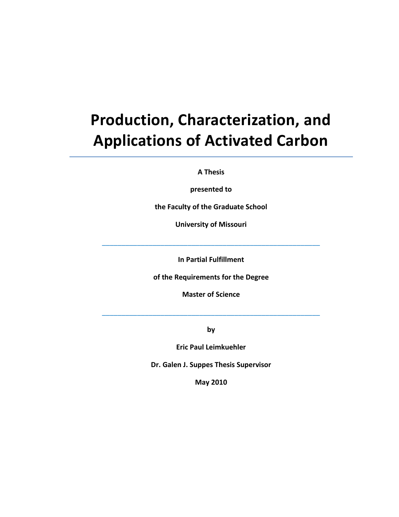# **Production, Characterization, and Applications of Activated Carbon**

**A Thesis**

**presented to**

**the Faculty of the Graduate School**

**University of Missouri**

**In Partial Fulfillment**

\_\_\_\_\_\_\_\_\_\_\_\_\_\_\_\_\_\_\_\_\_\_\_\_\_\_\_\_\_\_\_\_\_\_\_\_\_\_\_\_\_\_\_\_\_\_\_\_\_\_\_\_\_\_\_\_

**of the Requirements for the Degree**

**Master of Science**

\_\_\_\_\_\_\_\_\_\_\_\_\_\_\_\_\_\_\_\_\_\_\_\_\_\_\_\_\_\_\_\_\_\_\_\_\_\_\_\_\_\_\_\_\_\_\_\_\_\_\_\_\_\_\_\_

**by**

**Eric Paul Leimkuehler**

**Dr. Galen J. Suppes Thesis Supervisor**

**May 2010**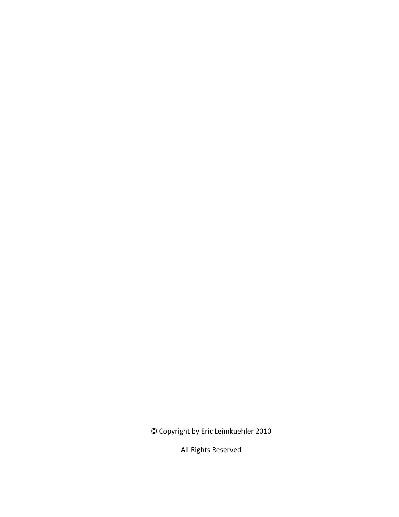© Copyright by Eric Leimkuehler 2010

All Rights Reserved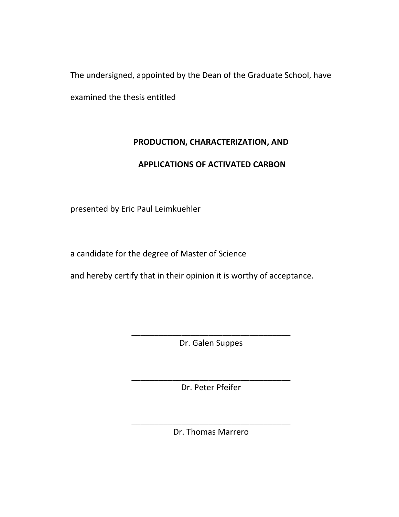The undersigned, appointed by the Dean of the Graduate School, have examined the thesis entitled

## **PRODUCTION, CHARACTERIZATION, AND**

## **APPLICATIONS OF ACTIVATED CARBON**

presented by Eric Paul Leimkuehler

a candidate for the degree of Master of Science

and hereby certify that in their opinion it is worthy of acceptance.

\_\_\_\_\_\_\_\_\_\_\_\_\_\_\_\_\_\_\_\_\_\_\_\_\_\_\_\_\_\_\_\_\_\_\_ Dr. Galen Suppes

\_\_\_\_\_\_\_\_\_\_\_\_\_\_\_\_\_\_\_\_\_\_\_\_\_\_\_\_\_\_\_\_\_\_\_ Dr. Peter Pfeifer

\_\_\_\_\_\_\_\_\_\_\_\_\_\_\_\_\_\_\_\_\_\_\_\_\_\_\_\_\_\_\_\_\_\_\_ Dr. Thomas Marrero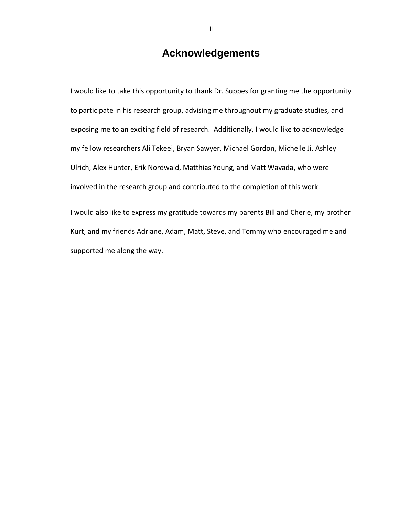## <span id="page-3-0"></span>**Acknowledgements**

I would like to take this opportunity to thank Dr. Suppes for granting me the opportunity to participate in his research group, advising me throughout my graduate studies, and exposing me to an exciting field of research. Additionally, I would like to acknowledge my fellow researchers Ali Tekeei, Bryan Sawyer, Michael Gordon, Michelle Ji, Ashley Ulrich, Alex Hunter, Erik Nordwald, Matthias Young, and Matt Wavada, who were involved in the research group and contributed to the completion of this work.

I would also like to express my gratitude towards my parents Bill and Cherie, my brother Kurt, and my friends Adriane, Adam, Matt, Steve, and Tommy who encouraged me and supported me along the way.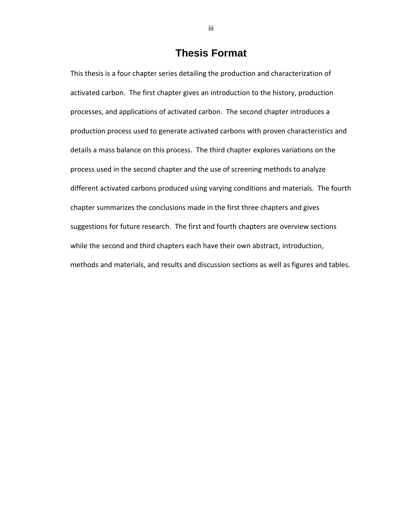## **Thesis Format**

<span id="page-4-0"></span>This thesis is a four chapter series detailing the production and characterization of activated carbon. The first chapter gives an introduction to the history, production processes, and applications of activated carbon. The second chapter introduces a production process used to generate activated carbons with proven characteristics and details a mass balance on this process. The third chapter explores variations on the process used in the second chapter and the use of screening methods to analyze different activated carbons produced using varying conditions and materials. The fourth chapter summarizes the conclusions made in the first three chapters and gives suggestions for future research. The first and fourth chapters are overview sections while the second and third chapters each have their own abstract, introduction, methods and materials, and results and discussion sections as well as figures and tables.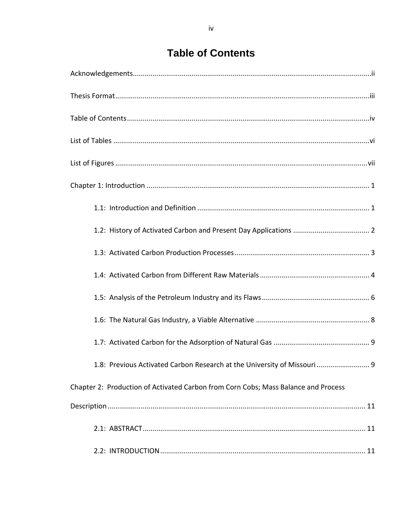<span id="page-5-0"></span>

| 1.8: Previous Activated Carbon Research at the University of Missouri 9            |
|------------------------------------------------------------------------------------|
| Chapter 2: Production of Activated Carbon from Corn Cobs; Mass Balance and Process |
|                                                                                    |
|                                                                                    |
|                                                                                    |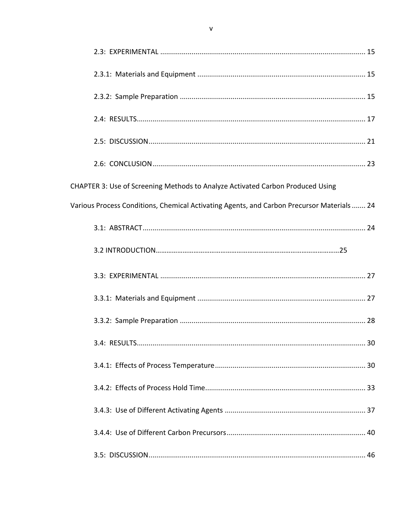| CHAPTER 3: Use of Screening Methods to Analyze Activated Carbon Produced Using             |  |
|--------------------------------------------------------------------------------------------|--|
| Various Process Conditions, Chemical Activating Agents, and Carbon Precursor Materials  24 |  |
|                                                                                            |  |
|                                                                                            |  |
|                                                                                            |  |
|                                                                                            |  |
|                                                                                            |  |
|                                                                                            |  |
|                                                                                            |  |
|                                                                                            |  |
|                                                                                            |  |
|                                                                                            |  |
|                                                                                            |  |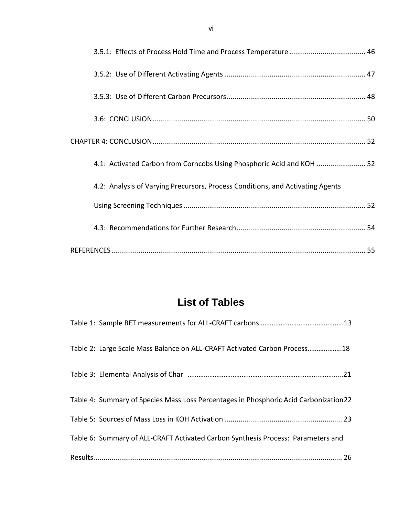| 4.1: Activated Carbon from Corncobs Using Phosphoric Acid and KOH  52          |  |
|--------------------------------------------------------------------------------|--|
| 4.2: Analysis of Varying Precursors, Process Conditions, and Activating Agents |  |
|                                                                                |  |
|                                                                                |  |
|                                                                                |  |

## **List of Tables**

<span id="page-7-0"></span>

| Table 2: Large Scale Mass Balance on ALL-CRAFT Activated Carbon Process18            |
|--------------------------------------------------------------------------------------|
|                                                                                      |
| Table 4: Summary of Species Mass Loss Percentages in Phosphoric Acid Carbonization22 |
|                                                                                      |
| Table 6: Summary of ALL-CRAFT Activated Carbon Synthesis Process: Parameters and     |
|                                                                                      |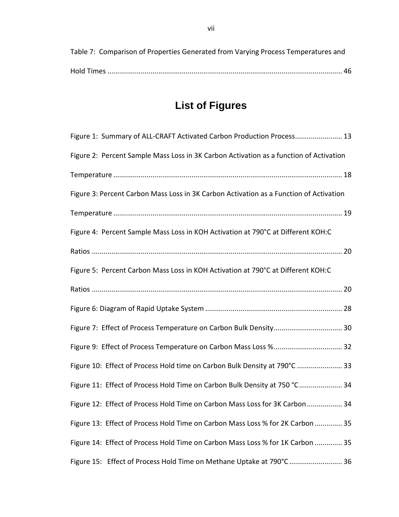## <span id="page-8-0"></span>**List of Figures**

| Figure 1: Summary of ALL-CRAFT Activated Carbon Production Process 13                  |
|----------------------------------------------------------------------------------------|
| Figure 2: Percent Sample Mass Loss in 3K Carbon Activation as a function of Activation |
|                                                                                        |
| Figure 3: Percent Carbon Mass Loss in 3K Carbon Activation as a Function of Activation |
|                                                                                        |
| Figure 4: Percent Sample Mass Loss in KOH Activation at 790°C at Different KOH:C       |
|                                                                                        |
| Figure 5: Percent Carbon Mass Loss in KOH Activation at 790°C at Different KOH:C       |
|                                                                                        |
|                                                                                        |
|                                                                                        |
|                                                                                        |
| Figure 10: Effect of Process Hold time on Carbon Bulk Density at 790°C  33             |
| Figure 11: Effect of Process Hold Time on Carbon Bulk Density at 750 °C 34             |
| Figure 12: Effect of Process Hold Time on Carbon Mass Loss for 3K Carbon  34           |
| Figure 13: Effect of Process Hold Time on Carbon Mass Loss % for 2K Carbon  35         |
| Figure 14: Effect of Process Hold Time on Carbon Mass Loss % for 1K Carbon  35         |
| Figure 15: Effect of Process Hold Time on Methane Uptake at 790°C  36                  |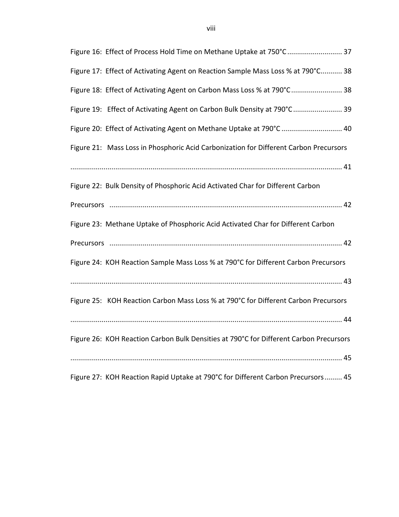<span id="page-9-0"></span>

| Figure 16: Effect of Process Hold Time on Methane Uptake at 750°C  37                  |
|----------------------------------------------------------------------------------------|
| Figure 17: Effect of Activating Agent on Reaction Sample Mass Loss % at 790°C 38       |
| Figure 18: Effect of Activating Agent on Carbon Mass Loss % at 790°C 38                |
| Figure 19: Effect of Activating Agent on Carbon Bulk Density at 790°C 39               |
| Figure 20: Effect of Activating Agent on Methane Uptake at 790°C  40                   |
| Figure 21: Mass Loss in Phosphoric Acid Carbonization for Different Carbon Precursors  |
|                                                                                        |
| Figure 22: Bulk Density of Phosphoric Acid Activated Char for Different Carbon         |
|                                                                                        |
| Figure 23: Methane Uptake of Phosphoric Acid Activated Char for Different Carbon       |
|                                                                                        |
| Figure 24: KOH Reaction Sample Mass Loss % at 790°C for Different Carbon Precursors    |
|                                                                                        |
| Figure 25: KOH Reaction Carbon Mass Loss % at 790°C for Different Carbon Precursors    |
|                                                                                        |
| Figure 26: KOH Reaction Carbon Bulk Densities at 790°C for Different Carbon Precursors |
|                                                                                        |
| Figure 27: KOH Reaction Rapid Uptake at 790°C for Different Carbon Precursors 45       |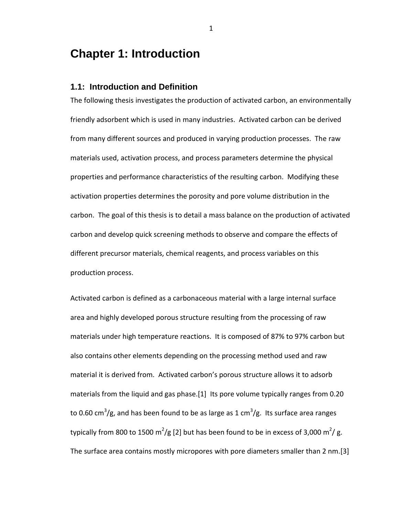## **Chapter 1: Introduction**

#### <span id="page-10-0"></span>**1.1: Introduction and Definition**

The following thesis investigates the production of activated carbon, an environmentally friendly adsorbent which is used in many industries. Activated carbon can be derived from many different sources and produced in varying production processes. The raw materials used, activation process, and process parameters determine the physical properties and performance characteristics of the resulting carbon. Modifying these activation properties determines the porosity and pore volume distribution in the carbon. The goal of this thesis is to detail a mass balance on the production of activated carbon and develop quick screening methods to observe and compare the effects of different precursor materials, chemical reagents, and process variables on this production process.

Activated carbon is defined as a carbonaceous material with a large internal surface area and highly developed porous structure resulting from the processing of raw materials under high temperature reactions. It is composed of 87% to 97% carbon but also contains other elements depending on the processing method used and raw material it is derived from. Activated carbon's porous structure allows it to adsorb materials from the liquid and gas phase.[1] Its pore volume typically ranges from 0.20 to 0.60 cm<sup>3</sup>/g, and has been found to be as large as 1 cm<sup>3</sup>/g. Its surface area ranges typically from 800 to 1500 m<sup>2</sup>/g [2] but has been found to be in excess of 3,000 m<sup>2</sup>/ g. The surface area contains mostly micropores with pore diameters smaller than 2 nm.[3]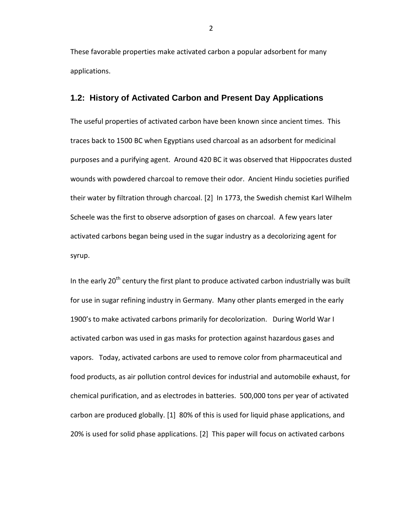These favorable properties make activated carbon a popular adsorbent for many applications.

#### <span id="page-11-0"></span>**1.2: History of Activated Carbon and Present Day Applications**

The useful properties of activated carbon have been known since ancient times. This traces back to 1500 BC when Egyptians used charcoal as an adsorbent for medicinal purposes and a purifying agent. Around 420 BC it was observed that Hippocrates dusted wounds with powdered charcoal to remove their odor. Ancient Hindu societies purified their water by filtration through charcoal. [2] In 1773, the Swedish chemist Karl Wilhelm Scheele was the first to observe adsorption of gases on charcoal. A few years later activated carbons began being used in the sugar industry as a decolorizing agent for syrup.

In the early  $20<sup>th</sup>$  century the first plant to produce activated carbon industrially was built for use in sugar refining industry in Germany. Many other plants emerged in the early 1900's to make activated carbons primarily for decolorization. During World War I activated carbon was used in gas masks for protection against hazardous gases and vapors. Today, activated carbons are used to remove color from pharmaceutical and food products, as air pollution control devices for industrial and automobile exhaust, for chemical purification, and as electrodes in batteries. 500,000 tons per year of activated carbon are produced globally. [1] 80% of this is used for liquid phase applications, and 20% is used for solid phase applications. [2] This paper will focus on activated carbons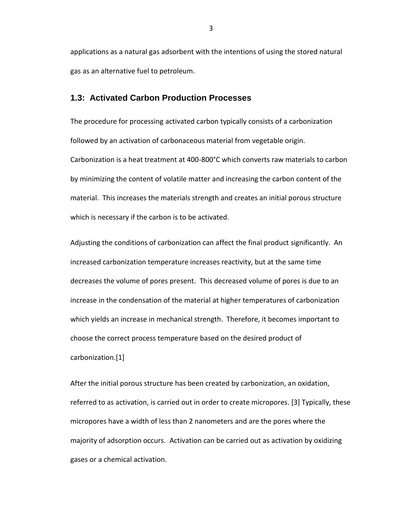applications as a natural gas adsorbent with the intentions of using the stored natural gas as an alternative fuel to petroleum.

#### <span id="page-12-0"></span>**1.3: Activated Carbon Production Processes**

The procedure for processing activated carbon typically consists of a carbonization followed by an activation of carbonaceous material from vegetable origin. Carbonization is a heat treatment at 400-800°C which converts raw materials to carbon by minimizing the content of volatile matter and increasing the carbon content of the material. This increases the materials strength and creates an initial porous structure which is necessary if the carbon is to be activated.

Adjusting the conditions of carbonization can affect the final product significantly. An increased carbonization temperature increases reactivity, but at the same time decreases the volume of pores present. This decreased volume of pores is due to an increase in the condensation of the material at higher temperatures of carbonization which yields an increase in mechanical strength. Therefore, it becomes important to choose the correct process temperature based on the desired product of carbonization.[1]

After the initial porous structure has been created by carbonization, an oxidation, referred to as activation, is carried out in order to create micropores. [3] Typically, these micropores have a width of less than 2 nanometers and are the pores where the majority of adsorption occurs. Activation can be carried out as activation by oxidizing gases or a chemical activation.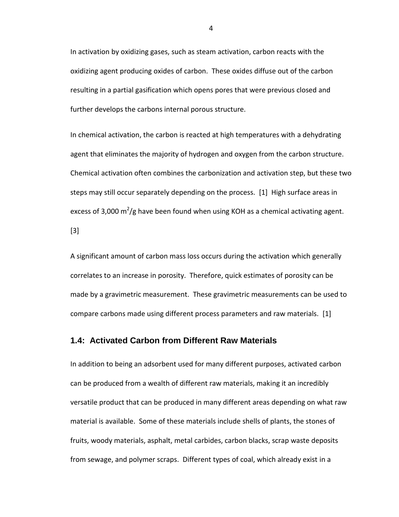In activation by oxidizing gases, such as steam activation, carbon reacts with the oxidizing agent producing oxides of carbon. These oxides diffuse out of the carbon resulting in a partial gasification which opens pores that were previous closed and further develops the carbons internal porous structure.

In chemical activation, the carbon is reacted at high temperatures with a dehydrating agent that eliminates the majority of hydrogen and oxygen from the carbon structure. Chemical activation often combines the carbonization and activation step, but these two steps may still occur separately depending on the process. [1] High surface areas in excess of 3,000 m<sup>2</sup>/g have been found when using KOH as a chemical activating agent. [3]

A significant amount of carbon mass loss occurs during the activation which generally correlates to an increase in porosity. Therefore, quick estimates of porosity can be made by a gravimetric measurement. These gravimetric measurements can be used to compare carbons made using different process parameters and raw materials. [1]

#### <span id="page-13-0"></span>**1.4: Activated Carbon from Different Raw Materials**

In addition to being an adsorbent used for many different purposes, activated carbon can be produced from a wealth of different raw materials, making it an incredibly versatile product that can be produced in many different areas depending on what raw material is available. Some of these materials include shells of plants, the stones of fruits, woody materials, asphalt, metal carbides, carbon blacks, scrap waste deposits from sewage, and polymer scraps. Different types of coal, which already exist in a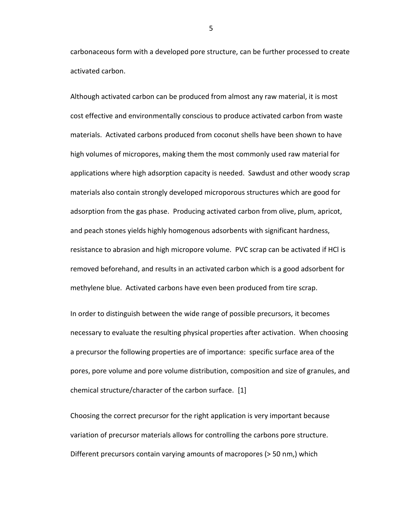carbonaceous form with a developed pore structure, can be further processed to create activated carbon.

Although activated carbon can be produced from almost any raw material, it is most cost effective and environmentally conscious to produce activated carbon from waste materials. Activated carbons produced from coconut shells have been shown to have high volumes of micropores, making them the most commonly used raw material for applications where high adsorption capacity is needed. Sawdust and other woody scrap materials also contain strongly developed microporous structures which are good for adsorption from the gas phase. Producing activated carbon from olive, plum, apricot, and peach stones yields highly homogenous adsorbents with significant hardness, resistance to abrasion and high micropore volume. PVC scrap can be activated if HCl is removed beforehand, and results in an activated carbon which is a good adsorbent for methylene blue. Activated carbons have even been produced from tire scrap.

In order to distinguish between the wide range of possible precursors, it becomes necessary to evaluate the resulting physical properties after activation. When choosing a precursor the following properties are of importance: specific surface area of the pores, pore volume and pore volume distribution, composition and size of granules, and chemical structure/character of the carbon surface. [1]

Choosing the correct precursor for the right application is very important because variation of precursor materials allows for controlling the carbons pore structure. Different precursors contain varying amounts of macropores (> 50 nm,) which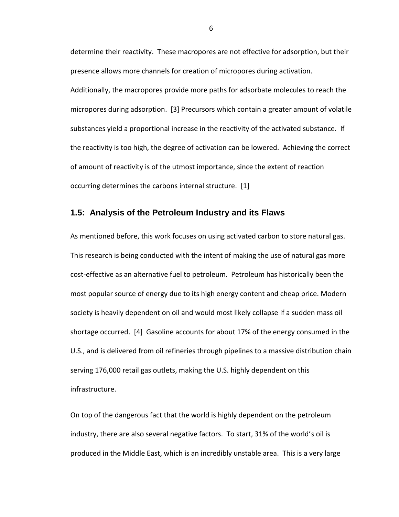determine their reactivity. These macropores are not effective for adsorption, but their presence allows more channels for creation of micropores during activation.

Additionally, the macropores provide more paths for adsorbate molecules to reach the micropores during adsorption. [3] Precursors which contain a greater amount of volatile substances yield a proportional increase in the reactivity of the activated substance. If the reactivity is too high, the degree of activation can be lowered. Achieving the correct of amount of reactivity is of the utmost importance, since the extent of reaction occurring determines the carbons internal structure. [1]

#### <span id="page-15-0"></span>**1.5: Analysis of the Petroleum Industry and its Flaws**

As mentioned before, this work focuses on using activated carbon to store natural gas. This research is being conducted with the intent of making the use of natural gas more cost-effective as an alternative fuel to petroleum. Petroleum has historically been the most popular source of energy due to its high energy content and cheap price. Modern society is heavily dependent on oil and would most likely collapse if a sudden mass oil shortage occurred. [4] Gasoline accounts for about 17% of the energy consumed in the U.S., and is delivered from oil refineries through pipelines to a massive distribution chain serving 176,000 retail gas outlets, making the U.S. highly dependent on this infrastructure.

On top of the dangerous fact that the world is highly dependent on the petroleum industry, there are also several negative factors. To start, 31% of the world's oil is produced in the Middle East, which is an incredibly unstable area. This is a very large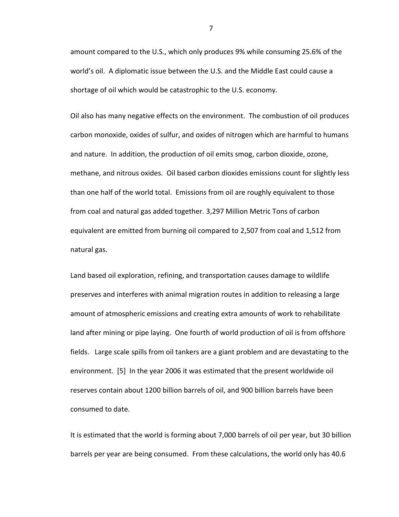amount compared to the U.S., which only produces 9% while consuming 25.6% of the world's oil. A diplomatic issue between the U.S. and the Middle East could cause a shortage of oil which would be catastrophic to the U.S. economy.

Oil also has many negative effects on the environment. The combustion of oil produces carbon monoxide, oxides of sulfur, and oxides of nitrogen which are harmful to humans and nature. In addition, the production of oil emits smog, carbon dioxide, ozone, methane, and nitrous oxides. Oil based carbon dioxides emissions count for slightly less than one half of the world total. Emissions from oil are roughly equivalent to those from coal and natural gas added together. 3,297 Million Metric Tons of carbon equivalent are emitted from burning oil compared to 2,507 from coal and 1,512 from natural gas.

Land based oil exploration, refining, and transportation causes damage to wildlife preserves and interferes with animal migration routes in addition to releasing a large amount of atmospheric emissions and creating extra amounts of work to rehabilitate land after mining or pipe laying. One fourth of world production of oil is from offshore fields. Large scale spills from oil tankers are a giant problem and are devastating to the environment. [5] In the year 2006 it was estimated that the present worldwide oil reserves contain about 1200 billion barrels of oil, and 900 billion barrels have been consumed to date.

It is estimated that the world is forming about 7,000 barrels of oil per year, but 30 billion barrels per year are being consumed. From these calculations, the world only has 40.6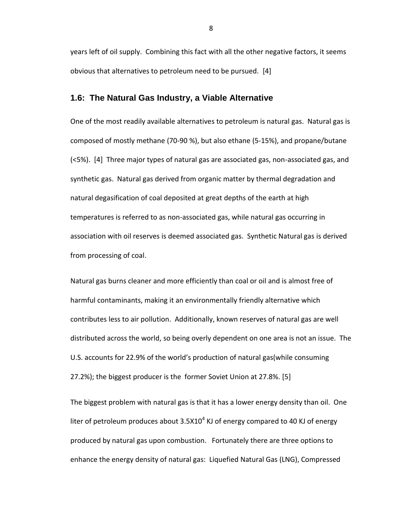years left of oil supply. Combining this fact with all the other negative factors, it seems obvious that alternatives to petroleum need to be pursued. [4]

#### <span id="page-17-0"></span>**1.6: The Natural Gas Industry, a Viable Alternative**

One of the most readily available alternatives to petroleum is natural gas. Natural gas is composed of mostly methane (70-90 %), but also ethane (5-15%), and propane/butane (<5%). [4] Three major types of natural gas are associated gas, non-associated gas, and synthetic gas. Natural gas derived from organic matter by thermal degradation and natural degasification of coal deposited at great depths of the earth at high temperatures is referred to as non-associated gas, while natural gas occurring in association with oil reserves is deemed associated gas. Synthetic Natural gas is derived from processing of coal.

Natural gas burns cleaner and more efficiently than coal or oil and is almost free of harmful contaminants, making it an environmentally friendly alternative which contributes less to air pollution. Additionally, known reserves of natural gas are well distributed across the world, so being overly dependent on one area is not an issue. The U.S. accounts for 22.9% of the world's production of natural gas(while consuming 27.2%); the biggest producer is the former Soviet Union at 27.8%. [5]

The biggest problem with natural gas is that it has a lower energy density than oil. One liter of petroleum produces about 3.5X10<sup>4</sup> KJ of energy compared to 40 KJ of energy produced by natural gas upon combustion. Fortunately there are three options to enhance the energy density of natural gas: Liquefied Natural Gas (LNG), Compressed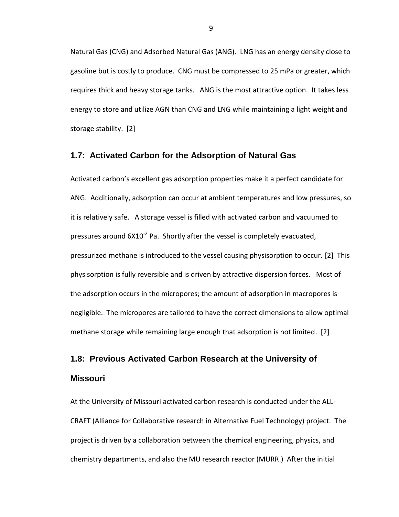Natural Gas (CNG) and Adsorbed Natural Gas (ANG). LNG has an energy density close to gasoline but is costly to produce. CNG must be compressed to 25 mPa or greater, which requires thick and heavy storage tanks. ANG is the most attractive option. It takes less energy to store and utilize AGN than CNG and LNG while maintaining a light weight and storage stability. [2]

#### <span id="page-18-0"></span>**1.7: Activated Carbon for the Adsorption of Natural Gas**

Activated carbon's excellent gas adsorption properties make it a perfect candidate for ANG. Additionally, adsorption can occur at ambient temperatures and low pressures, so it is relatively safe. A storage vessel is filled with activated carbon and vacuumed to pressures around  $6X10^2$  Pa. Shortly after the vessel is completely evacuated, pressurized methane is introduced to the vessel causing physisorption to occur. [2] This physisorption is fully reversible and is driven by attractive dispersion forces. Most of the adsorption occurs in the micropores; the amount of adsorption in macropores is negligible. The micropores are tailored to have the correct dimensions to allow optimal methane storage while remaining large enough that adsorption is not limited. [2]

## <span id="page-18-1"></span>**1.8: Previous Activated Carbon Research at the University of Missouri**

At the University of Missouri activated carbon research is conducted under the ALL-CRAFT (Alliance for Collaborative research in Alternative Fuel Technology) project. The project is driven by a collaboration between the chemical engineering, physics, and chemistry departments, and also the MU research reactor (MURR.) After the initial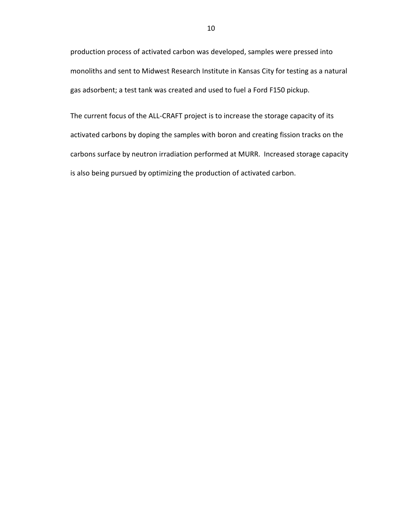production process of activated carbon was developed, samples were pressed into monoliths and sent to Midwest Research Institute in Kansas City for testing as a natural gas adsorbent; a test tank was created and used to fuel a Ford F150 pickup.

The current focus of the ALL-CRAFT project is to increase the storage capacity of its activated carbons by doping the samples with boron and creating fission tracks on the carbons surface by neutron irradiation performed at MURR. Increased storage capacity is also being pursued by optimizing the production of activated carbon.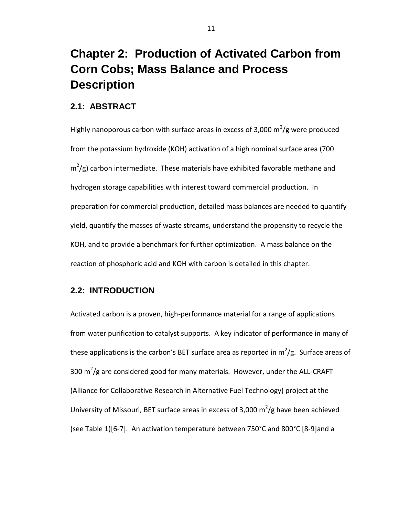## <span id="page-20-0"></span>**Chapter 2: Production of Activated Carbon from Corn Cobs; Mass Balance and Process Description**

#### <span id="page-20-1"></span>**2.1: ABSTRACT**

Highly nanoporous carbon with surface areas in excess of 3,000  $\text{m}^2/\text{g}$  were produced from the potassium hydroxide (KOH) activation of a high nominal surface area (700  $m^2$ /g) carbon intermediate. These materials have exhibited favorable methane and hydrogen storage capabilities with interest toward commercial production. In preparation for commercial production, detailed mass balances are needed to quantify yield, quantify the masses of waste streams, understand the propensity to recycle the KOH, and to provide a benchmark for further optimization. A mass balance on the reaction of phosphoric acid and KOH with carbon is detailed in this chapter.

#### <span id="page-20-2"></span>**2.2: INTRODUCTION**

Activated carbon is a proven, high-performance material for a range of applications from water purification to catalyst supports. A key indicator of performance in many of these applications is the carbon's BET surface area as reported in  $m^2/g$ . Surface areas of 300  $\text{m}^2/\text{g}$  are considered good for many materials. However, under the ALL-CRAFT (Alliance for Collaborative Research in Alternative Fuel Technology) project at the University of Missouri, BET surface areas in excess of 3,000  $m^2/g$  have been achieved (see Table 1)[6-7]. An activation temperature between 750°C and 800°C [8-9]and a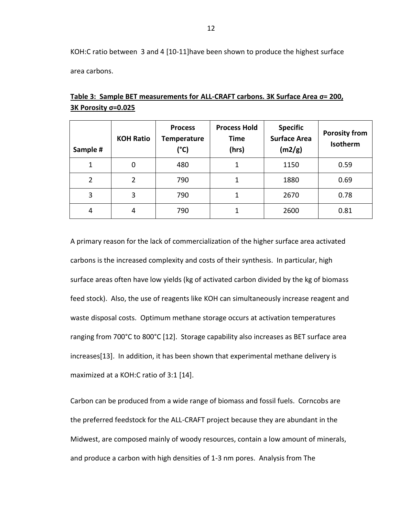KOH:C ratio between 3 and 4 [10-11]have been shown to produce the highest surface area carbons.

| Sample #       | <b>KOH Ratio</b> | <b>Process</b><br><b>Temperature</b><br>(°C) | <b>Process Hold</b><br><b>Time</b><br>(hrs) | <b>Specific</b><br><b>Surface Area</b><br>(m2/g) | <b>Porosity from</b><br>Isotherm |
|----------------|------------------|----------------------------------------------|---------------------------------------------|--------------------------------------------------|----------------------------------|
| 1              | 0                | 480                                          |                                             | 1150                                             | 0.59                             |
| $\overline{2}$ | 2                | 790                                          |                                             | 1880                                             | 0.69                             |
| 3              | 3                | 790                                          | 1                                           | 2670                                             | 0.78                             |
| 4              | 4                | 790                                          |                                             | 2600                                             | 0.81                             |

**Table 3: Sample BET measurements for ALL-CRAFT carbons. 3K Surface Area σ= 200, 3K Porosity σ=0.025**

A primary reason for the lack of commercialization of the higher surface area activated carbons is the increased complexity and costs of their synthesis. In particular, high surface areas often have low yields (kg of activated carbon divided by the kg of biomass feed stock). Also, the use of reagents like KOH can simultaneously increase reagent and waste disposal costs. Optimum methane storage occurs at activation temperatures ranging from 700°C to 800°C [12]. Storage capability also increases as BET surface area increases[13]. In addition, it has been shown that experimental methane delivery is maximized at a KOH:C ratio of 3:1 [14].

Carbon can be produced from a wide range of biomass and fossil fuels. Corncobs are the preferred feedstock for the ALL-CRAFT project because they are abundant in the Midwest, are composed mainly of woody resources, contain a low amount of minerals, and produce a carbon with high densities of 1-3 nm pores. Analysis from The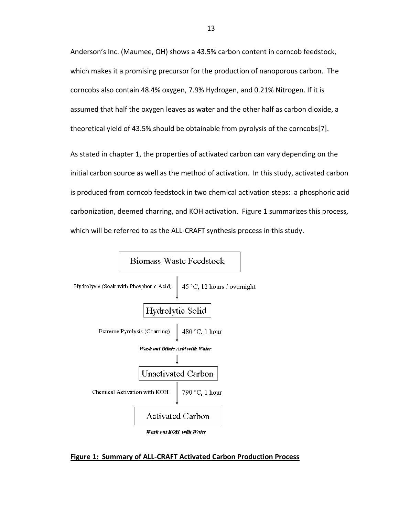Anderson's Inc. (Maumee, OH) shows a 43.5% carbon content in corncob feedstock, which makes it a promising precursor for the production of nanoporous carbon. The corncobs also contain 48.4% oxygen, 7.9% Hydrogen, and 0.21% Nitrogen. If it is assumed that half the oxygen leaves as water and the other half as carbon dioxide, a theoretical yield of 43.5% should be obtainable from pyrolysis of the corncobs[7].

As stated in chapter 1, the properties of activated carbon can vary depending on the initial carbon source as well as the method of activation. In this study, activated carbon is produced from corncob feedstock in two chemical activation steps: a phosphoric acid carbonization, deemed charring, and KOH activation. Figure 1 summarizes this process, which will be referred to as the ALL-CRAFT synthesis process in this study.



#### <span id="page-22-0"></span>**Figure 1: Summary of ALL-CRAFT Activated Carbon Production Process**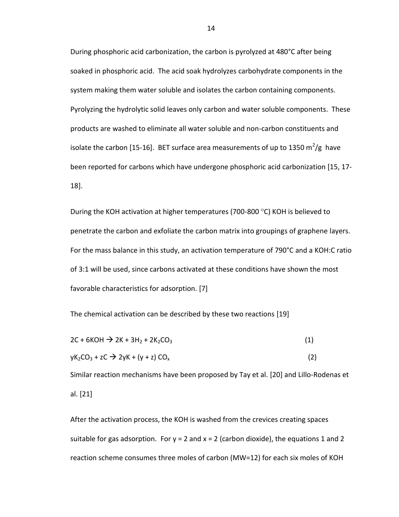During phosphoric acid carbonization, the carbon is pyrolyzed at 480°C after being soaked in phosphoric acid. The acid soak hydrolyzes carbohydrate components in the system making them water soluble and isolates the carbon containing components. Pyrolyzing the hydrolytic solid leaves only carbon and water soluble components. These products are washed to eliminate all water soluble and non-carbon constituents and isolate the carbon [15-16]. BET surface area measurements of up to 1350  $m^2/g$  have been reported for carbons which have undergone phosphoric acid carbonization [15, 17- 18].

During the KOH activation at higher temperatures (700-800  $^{\circ}$ C) KOH is believed to penetrate the carbon and exfoliate the carbon matrix into groupings of graphene layers. For the mass balance in this study, an activation temperature of 790°C and a KOH:C ratio of 3:1 will be used, since carbons activated at these conditions have shown the most favorable characteristics for adsorption. [7]

The chemical activation can be described by these two reactions [19]

| $2C + 6KOH \rightarrow 2K + 3H_2 + 2K_2CO_3$   | (1) |
|------------------------------------------------|-----|
| $yK_2CO_3 + zC \rightarrow 2yK + (y + z) CO_x$ |     |

Similar reaction mechanisms have been proposed by Tay et al. [20] and Lillo-Rodenas et al. [21]

After the activation process, the KOH is washed from the crevices creating spaces suitable for gas adsorption. For  $y = 2$  and  $x = 2$  (carbon dioxide), the equations 1 and 2 reaction scheme consumes three moles of carbon (MW=12) for each six moles of KOH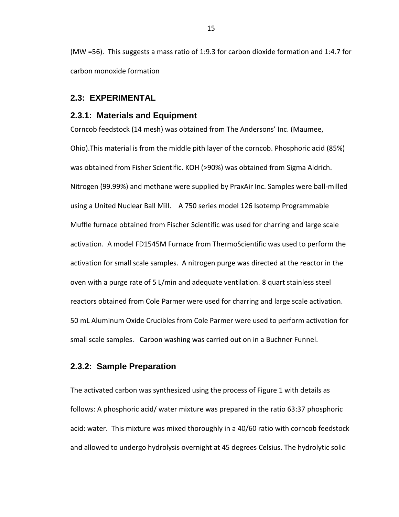(MW =56). This suggests a mass ratio of 1:9.3 for carbon dioxide formation and 1:4.7 for carbon monoxide formation

#### <span id="page-24-0"></span>**2.3: EXPERIMENTAL**

#### <span id="page-24-1"></span>**2.3.1: Materials and Equipment**

Corncob feedstock (14 mesh) was obtained from The Andersons' Inc. (Maumee, Ohio).This material is from the middle pith layer of the corncob. Phosphoric acid (85%) was obtained from Fisher Scientific. KOH (>90%) was obtained from Sigma Aldrich. Nitrogen (99.99%) and methane were supplied by PraxAir Inc. Samples were ball-milled using a United Nuclear Ball Mill. A 750 series model 126 Isotemp Programmable Muffle furnace obtained from Fischer Scientific was used for charring and large scale activation. A model FD1545M Furnace from ThermoScientific was used to perform the activation for small scale samples. A nitrogen purge was directed at the reactor in the oven with a purge rate of 5 L/min and adequate ventilation. 8 quart stainless steel reactors obtained from Cole Parmer were used for charring and large scale activation. 50 mL Aluminum Oxide Crucibles from Cole Parmer were used to perform activation for small scale samples. Carbon washing was carried out on in a Buchner Funnel.

#### <span id="page-24-2"></span>**2.3.2: Sample Preparation**

The activated carbon was synthesized using the process of Figure 1 with details as follows: A phosphoric acid/ water mixture was prepared in the ratio 63:37 phosphoric acid: water. This mixture was mixed thoroughly in a 40/60 ratio with corncob feedstock and allowed to undergo hydrolysis overnight at 45 degrees Celsius. The hydrolytic solid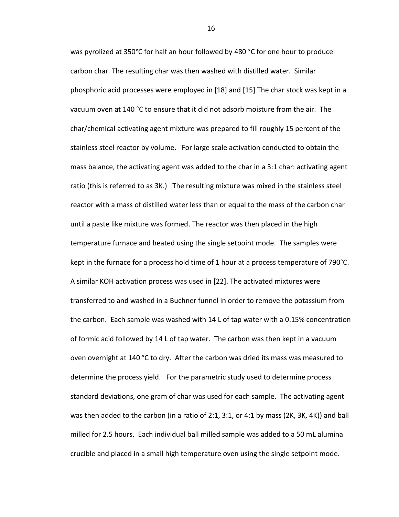was pyrolized at 350°C for half an hour followed by 480 °C for one hour to produce carbon char. The resulting char was then washed with distilled water. Similar phosphoric acid processes were employed in [18] and [15] The char stock was kept in a vacuum oven at 140 °C to ensure that it did not adsorb moisture from the air. The char/chemical activating agent mixture was prepared to fill roughly 15 percent of the stainless steel reactor by volume. For large scale activation conducted to obtain the mass balance, the activating agent was added to the char in a 3:1 char: activating agent ratio (this is referred to as 3K.) The resulting mixture was mixed in the stainless steel reactor with a mass of distilled water less than or equal to the mass of the carbon char until a paste like mixture was formed. The reactor was then placed in the high temperature furnace and heated using the single setpoint mode. The samples were kept in the furnace for a process hold time of 1 hour at a process temperature of 790°C. A similar KOH activation process was used in [22]. The activated mixtures were transferred to and washed in a Buchner funnel in order to remove the potassium from the carbon. Each sample was washed with 14 L of tap water with a 0.15% concentration of formic acid followed by 14 L of tap water. The carbon was then kept in a vacuum oven overnight at 140 °C to dry. After the carbon was dried its mass was measured to determine the process yield. For the parametric study used to determine process standard deviations, one gram of char was used for each sample. The activating agent was then added to the carbon (in a ratio of 2:1, 3:1, or 4:1 by mass (2K, 3K, 4K)) and ball milled for 2.5 hours. Each individual ball milled sample was added to a 50 mL alumina crucible and placed in a small high temperature oven using the single setpoint mode.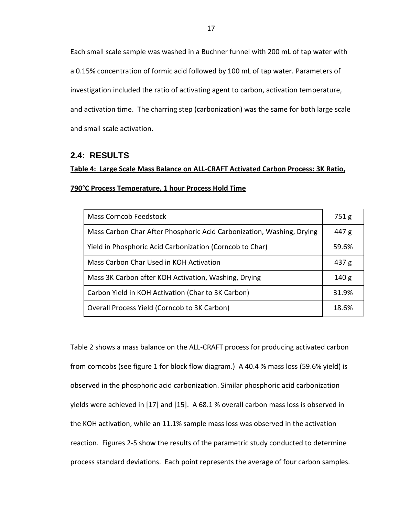Each small scale sample was washed in a Buchner funnel with 200 mL of tap water with a 0.15% concentration of formic acid followed by 100 mL of tap water. Parameters of investigation included the ratio of activating agent to carbon, activation temperature, and activation time. The charring step (carbonization) was the same for both large scale and small scale activation.

#### <span id="page-26-0"></span>**2.4: RESULTS**

#### **Table 4: Large Scale Mass Balance on ALL-CRAFT Activated Carbon Process: 3K Ratio,**

| <b>Mass Corncob Feedstock</b>                                         | 751g             |
|-----------------------------------------------------------------------|------------------|
| Mass Carbon Char After Phosphoric Acid Carbonization, Washing, Drying | 447 g            |
| Yield in Phosphoric Acid Carbonization (Corncob to Char)              | 59.6%            |
| Mass Carbon Char Used in KOH Activation                               | 437 <sub>g</sub> |
| Mass 3K Carbon after KOH Activation, Washing, Drying                  | 140 <sub>g</sub> |
| Carbon Yield in KOH Activation (Char to 3K Carbon)                    | 31.9%            |
| Overall Process Yield (Corncob to 3K Carbon)                          | 18.6%            |

#### **790°C Process Temperature, 1 hour Process Hold Time**

Table 2 shows a mass balance on the ALL-CRAFT process for producing activated carbon from corncobs (see figure 1 for block flow diagram.) A 40.4 % mass loss (59.6% yield) is observed in the phosphoric acid carbonization. Similar phosphoric acid carbonization yields were achieved in [17] and [15]. A 68.1 % overall carbon mass loss is observed in the KOH activation, while an 11.1% sample mass loss was observed in the activation reaction. Figures 2-5 show the results of the parametric study conducted to determine process standard deviations. Each point represents the average of four carbon samples.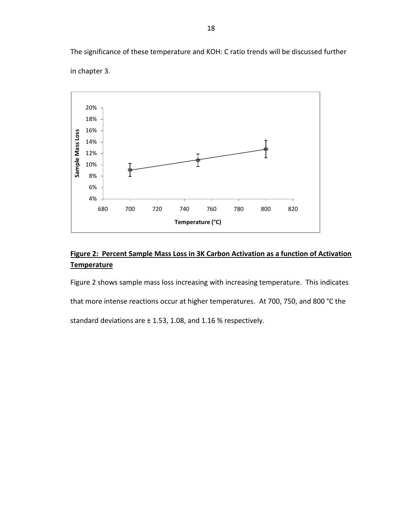The significance of these temperature and KOH: C ratio trends will be discussed further in chapter 3.



#### <span id="page-27-0"></span>**Figure 2: Percent Sample Mass Loss in 3K Carbon Activation as a function of Activation Temperature**

Figure 2 shows sample mass loss increasing with increasing temperature. This indicates that more intense reactions occur at higher temperatures. At 700, 750, and 800 °C the

standard deviations are  $\pm$  1.53, 1.08, and 1.16 % respectively.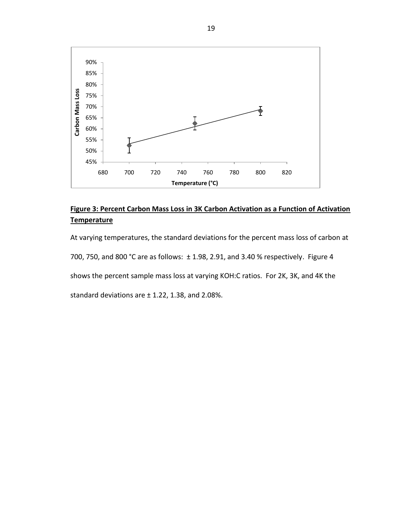

### <span id="page-28-0"></span>**Figure 3: Percent Carbon Mass Loss in 3K Carbon Activation as a Function of Activation Temperature**

At varying temperatures, the standard deviations for the percent mass loss of carbon at 700, 750, and 800 °C are as follows: ± 1.98, 2.91, and 3.40 % respectively. Figure 4 shows the percent sample mass loss at varying KOH:C ratios. For 2K, 3K, and 4K the

standard deviations are  $\pm$  1.22, 1.38, and 2.08%.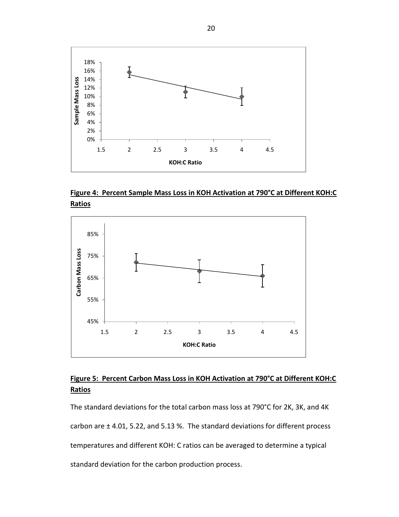

<span id="page-29-0"></span>**Figure 4: Percent Sample Mass Loss in KOH Activation at 790°C at Different KOH:C Ratios**



## <span id="page-29-1"></span>**Figure 5: Percent Carbon Mass Loss in KOH Activation at 790°C at Different KOH:C Ratios**

The standard deviations for the total carbon mass loss at 790°C for 2K, 3K, and 4K carbon are  $\pm$  4.01, 5.22, and 5.13 %. The standard deviations for different process temperatures and different KOH: C ratios can be averaged to determine a typical standard deviation for the carbon production process.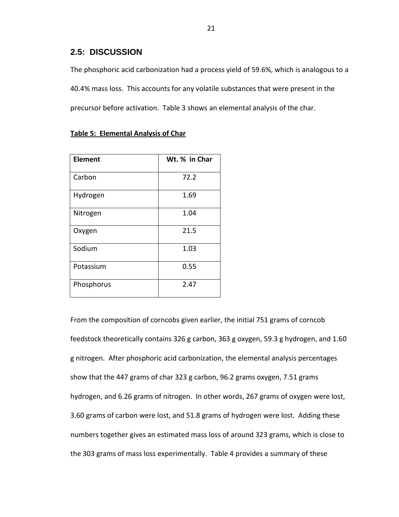#### <span id="page-30-0"></span>**2.5: DISCUSSION**

The phosphoric acid carbonization had a process yield of 59.6%, which is analogous to a 40.4% mass loss. This accounts for any volatile substances that were present in the precursor before activation. Table 3 shows an elemental analysis of the char.

| <b>Element</b> | Wt. % in Char |
|----------------|---------------|
| Carbon         | 72.2          |
| Hydrogen       | 1.69          |
| Nitrogen       | 1.04          |
| Oxygen         | 21.5          |
| Sodium         | 1.03          |
| Potassium      | 0.55          |
| Phosphorus     | 2.47          |

#### <span id="page-30-1"></span>**Table 5: Elemental Analysis of Char**

From the composition of corncobs given earlier, the initial 751 grams of corncob feedstock theoretically contains 326 g carbon, 363 g oxygen, 59.3 g hydrogen, and 1.60 g nitrogen. After phosphoric acid carbonization, the elemental analysis percentages show that the 447 grams of char 323 g carbon, 96.2 grams oxygen, 7.51 grams hydrogen, and 6.26 grams of nitrogen. In other words, 267 grams of oxygen were lost, 3.60 grams of carbon were lost, and 51.8 grams of hydrogen were lost. Adding these numbers together gives an estimated mass loss of around 323 grams, which is close to the 303 grams of mass loss experimentally. Table 4 provides a summary of these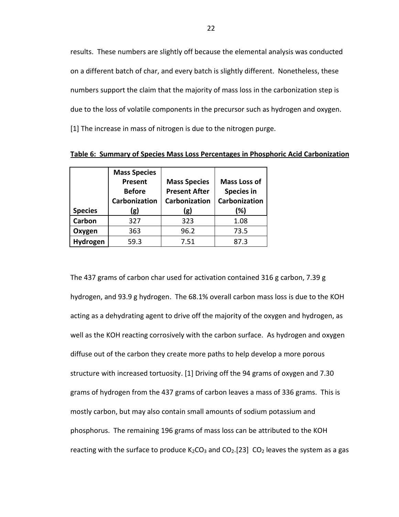results. These numbers are slightly off because the elemental analysis was conducted on a different batch of char, and every batch is slightly different. Nonetheless, these numbers support the claim that the majority of mass loss in the carbonization step is due to the loss of volatile components in the precursor such as hydrogen and oxygen. [1] The increase in mass of nitrogen is due to the nitrogen purge.

|                | <b>Mass Species</b> |                      |                     |
|----------------|---------------------|----------------------|---------------------|
|                | Present             | <b>Mass Species</b>  | <b>Mass Loss of</b> |
|                | <b>Before</b>       | <b>Present After</b> | <b>Species in</b>   |
|                | Carbonization       | Carbonization        | Carbonization       |
| <b>Species</b> | (g)                 | (g)                  | (%)                 |
| Carbon         | 327                 | 323                  | 1.08                |
| Oxygen         | 363                 | 96.2                 | 73.5                |
| Hydrogen       | 59.3                | 7.51                 | 87.3                |

<span id="page-31-0"></span>**Table 6: Summary of Species Mass Loss Percentages in Phosphoric Acid Carbonization**

The 437 grams of carbon char used for activation contained 316 g carbon, 7.39 g hydrogen, and 93.9 g hydrogen. The 68.1% overall carbon mass loss is due to the KOH acting as a dehydrating agent to drive off the majority of the oxygen and hydrogen, as well as the KOH reacting corrosively with the carbon surface. As hydrogen and oxygen diffuse out of the carbon they create more paths to help develop a more porous structure with increased tortuosity. [1] Driving off the 94 grams of oxygen and 7.30 grams of hydrogen from the 437 grams of carbon leaves a mass of 336 grams. This is mostly carbon, but may also contain small amounts of sodium potassium and phosphorus. The remaining 196 grams of mass loss can be attributed to the KOH reacting with the surface to produce  $K_2CO_3$  and  $CO_2$ .[23]  $CO_2$  leaves the system as a gas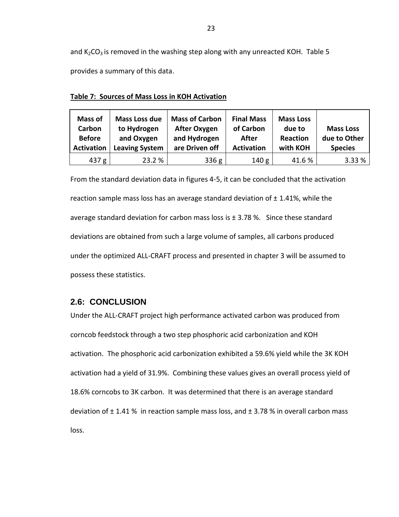and  $K_2CO_3$  is removed in the washing step along with any unreacted KOH. Table 5 provides a summary of this data.

| Mass of<br>Carbon<br><b>Before</b><br><b>Activation</b> | <b>Mass Loss due</b><br>to Hydrogen<br>and Oxygen<br><b>Leaving System</b> | <b>Mass of Carbon</b><br><b>After Oxygen</b><br>and Hydrogen<br>are Driven off | <b>Final Mass</b><br>of Carbon<br><b>After</b><br><b>Activation</b> | <b>Mass Loss</b><br>due to<br><b>Reaction</b><br>with KOH | <b>Mass Loss</b><br>due to Other<br><b>Species</b> |
|---------------------------------------------------------|----------------------------------------------------------------------------|--------------------------------------------------------------------------------|---------------------------------------------------------------------|-----------------------------------------------------------|----------------------------------------------------|
| 437 g                                                   | 23.2 %                                                                     | 336g                                                                           | 140 g                                                               | 41.6 %                                                    | 3.33 %                                             |

<span id="page-32-1"></span>**Table 7: Sources of Mass Loss in KOH Activation**

From the standard deviation data in figures 4-5, it can be concluded that the activation reaction sample mass loss has an average standard deviation of  $\pm$  1.41%, while the average standard deviation for carbon mass loss is  $\pm$  3.78 %. Since these standard deviations are obtained from such a large volume of samples, all carbons produced under the optimized ALL-CRAFT process and presented in chapter 3 will be assumed to possess these statistics.

### <span id="page-32-0"></span>**2.6: CONCLUSION**

Under the ALL-CRAFT project high performance activated carbon was produced from corncob feedstock through a two step phosphoric acid carbonization and KOH activation. The phosphoric acid carbonization exhibited a 59.6% yield while the 3K KOH activation had a yield of 31.9%. Combining these values gives an overall process yield of 18.6% corncobs to 3K carbon. It was determined that there is an average standard deviation of  $\pm$  1.41 % in reaction sample mass loss, and  $\pm$  3.78 % in overall carbon mass loss.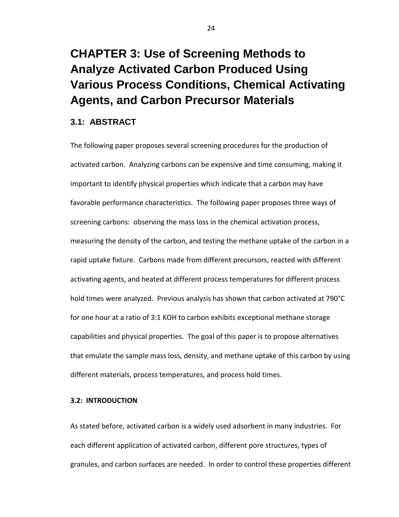## <span id="page-33-0"></span>**CHAPTER 3: Use of Screening Methods to Analyze Activated Carbon Produced Using Various Process Conditions, Chemical Activating Agents, and Carbon Precursor Materials**

#### <span id="page-33-1"></span>**3.1: ABSTRACT**

The following paper proposes several screening procedures for the production of activated carbon. Analyzing carbons can be expensive and time consuming, making it important to identify physical properties which indicate that a carbon may have favorable performance characteristics. The following paper proposes three ways of screening carbons: observing the mass loss in the chemical activation process, measuring the density of the carbon, and testing the methane uptake of the carbon in a rapid uptake fixture. Carbons made from different precursors, reacted with different activating agents, and heated at different process temperatures for different process hold times were analyzed. Previous analysis has shown that carbon activated at 790°C for one hour at a ratio of 3:1 KOH to carbon exhibits exceptional methane storage capabilities and physical properties. The goal of this paper is to propose alternatives that emulate the sample mass loss, density, and methane uptake of this carbon by using different materials, process temperatures, and process hold times.

#### **3.2: INTRODUCTION**

As stated before, activated carbon is a widely used adsorbent in many industries. For each different application of activated carbon, different pore structures, types of granules, and carbon surfaces are needed. In order to control these properties different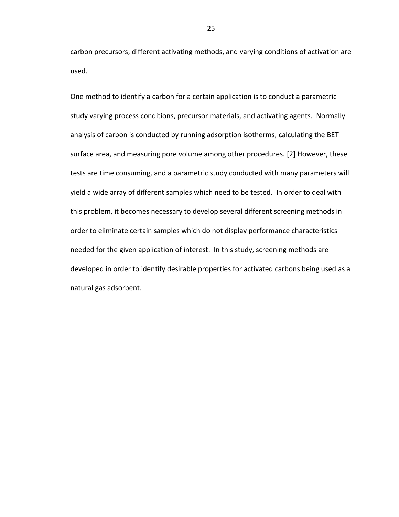carbon precursors, different activating methods, and varying conditions of activation are used.

One method to identify a carbon for a certain application is to conduct a parametric study varying process conditions, precursor materials, and activating agents. Normally analysis of carbon is conducted by running adsorption isotherms, calculating the BET surface area, and measuring pore volume among other procedures. [2] However, these tests are time consuming, and a parametric study conducted with many parameters will yield a wide array of different samples which need to be tested. In order to deal with this problem, it becomes necessary to develop several different screening methods in order to eliminate certain samples which do not display performance characteristics needed for the given application of interest. In this study, screening methods are developed in order to identify desirable properties for activated carbons being used as a natural gas adsorbent.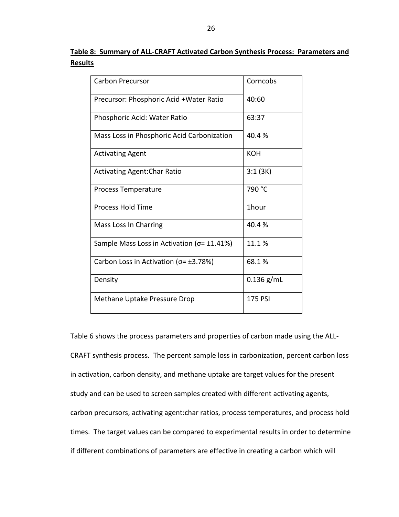<span id="page-35-0"></span>

|                |  |  |  | Table 8: Summary of ALL-CRAFT Activated Carbon Synthesis Process: Parameters and |  |
|----------------|--|--|--|----------------------------------------------------------------------------------|--|
| <b>Results</b> |  |  |  |                                                                                  |  |

| <b>Carbon Precursor</b>                             | Corncobs     |
|-----------------------------------------------------|--------------|
| Precursor: Phosphoric Acid + Water Ratio            | 40:60        |
| Phosphoric Acid: Water Ratio                        | 63:37        |
| Mass Loss in Phosphoric Acid Carbonization          | 40.4%        |
| <b>Activating Agent</b>                             | KOH          |
| <b>Activating Agent: Char Ratio</b>                 | 3:1(3K)      |
| <b>Process Temperature</b>                          | 790 °C       |
| <b>Process Hold Time</b>                            | 1hour        |
| Mass Loss In Charring                               | 40.4%        |
| Sample Mass Loss in Activation ( $\sigma$ = ±1.41%) | 11.1%        |
| Carbon Loss in Activation ( $\sigma$ = ±3.78%)      | 68.1%        |
| Density                                             | $0.136$ g/mL |
| Methane Uptake Pressure Drop                        | 175 PSI      |

Table 6 shows the process parameters and properties of carbon made using the ALL-CRAFT synthesis process. The percent sample loss in carbonization, percent carbon loss in activation, carbon density, and methane uptake are target values for the present study and can be used to screen samples created with different activating agents, carbon precursors, activating agent:char ratios, process temperatures, and process hold times. The target values can be compared to experimental results in order to determine if different combinations of parameters are effective in creating a carbon which will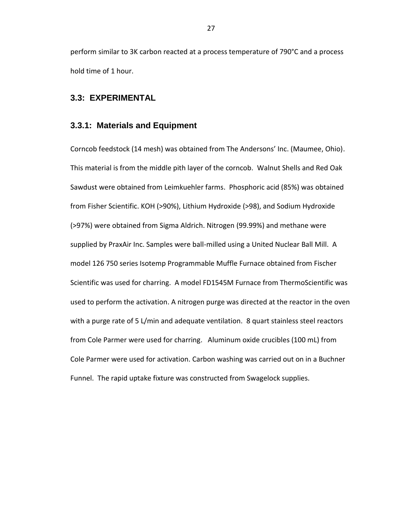perform similar to 3K carbon reacted at a process temperature of 790°C and a process hold time of 1 hour.

#### <span id="page-36-0"></span>**3.3: EXPERIMENTAL**

#### <span id="page-36-1"></span>**3.3.1: Materials and Equipment**

Corncob feedstock (14 mesh) was obtained from The Andersons' Inc. (Maumee, Ohio). This material is from the middle pith layer of the corncob. Walnut Shells and Red Oak Sawdust were obtained from Leimkuehler farms. Phosphoric acid (85%) was obtained from Fisher Scientific. KOH (>90%), Lithium Hydroxide (>98), and Sodium Hydroxide (>97%) were obtained from Sigma Aldrich. Nitrogen (99.99%) and methane were supplied by PraxAir Inc. Samples were ball-milled using a United Nuclear Ball Mill. A model 126 750 series Isotemp Programmable Muffle Furnace obtained from Fischer Scientific was used for charring. A model FD1545M Furnace from ThermoScientific was used to perform the activation. A nitrogen purge was directed at the reactor in the oven with a purge rate of 5 L/min and adequate ventilation. 8 quart stainless steel reactors from Cole Parmer were used for charring. Aluminum oxide crucibles (100 mL) from Cole Parmer were used for activation. Carbon washing was carried out on in a Buchner Funnel. The rapid uptake fixture was constructed from Swagelock supplies.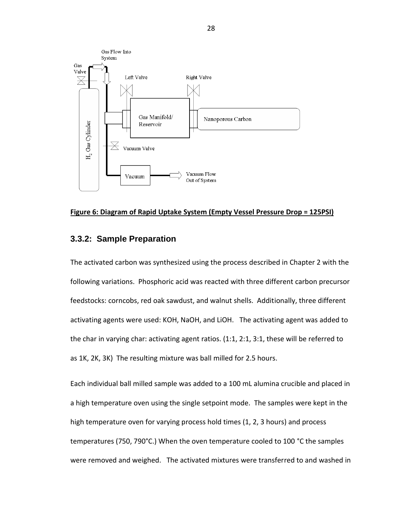

<span id="page-37-1"></span>

#### <span id="page-37-0"></span>**3.3.2: Sample Preparation**

The activated carbon was synthesized using the process described in Chapter 2 with the following variations. Phosphoric acid was reacted with three different carbon precursor feedstocks: corncobs, red oak sawdust, and walnut shells. Additionally, three different activating agents were used: KOH, NaOH, and LiOH. The activating agent was added to the char in varying char: activating agent ratios. (1:1, 2:1, 3:1, these will be referred to as 1K, 2K, 3K) The resulting mixture was ball milled for 2.5 hours.

Each individual ball milled sample was added to a 100 mL alumina crucible and placed in a high temperature oven using the single setpoint mode. The samples were kept in the high temperature oven for varying process hold times (1, 2, 3 hours) and process temperatures (750, 790°C.) When the oven temperature cooled to 100 °C the samples were removed and weighed. The activated mixtures were transferred to and washed in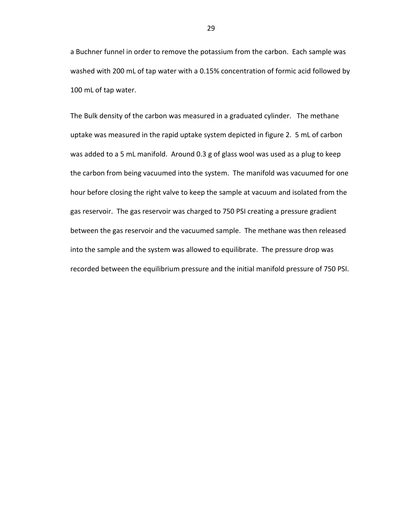a Buchner funnel in order to remove the potassium from the carbon. Each sample was washed with 200 mL of tap water with a 0.15% concentration of formic acid followed by 100 mL of tap water.

The Bulk density of the carbon was measured in a graduated cylinder. The methane uptake was measured in the rapid uptake system depicted in figure 2. 5 mL of carbon was added to a 5 mL manifold. Around 0.3 g of glass wool was used as a plug to keep the carbon from being vacuumed into the system. The manifold was vacuumed for one hour before closing the right valve to keep the sample at vacuum and isolated from the gas reservoir. The gas reservoir was charged to 750 PSI creating a pressure gradient between the gas reservoir and the vacuumed sample. The methane was then released into the sample and the system was allowed to equilibrate. The pressure drop was recorded between the equilibrium pressure and the initial manifold pressure of 750 PSI.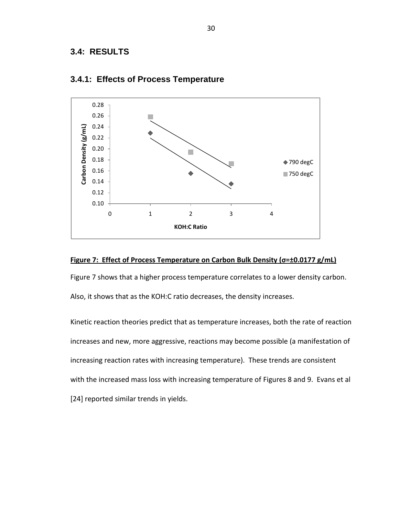#### <span id="page-39-0"></span>**3.4: RESULTS**



#### <span id="page-39-1"></span>**3.4.1: Effects of Process Temperature**

#### <span id="page-39-2"></span>**Figure 7: Effect of Process Temperature on Carbon Bulk Density (σ=±0.0177 g/mL)**

Figure 7 shows that a higher process temperature correlates to a lower density carbon.

Also, it shows that as the KOH:C ratio decreases, the density increases.

Kinetic reaction theories predict that as temperature increases, both the rate of reaction increases and new, more aggressive, reactions may become possible (a manifestation of increasing reaction rates with increasing temperature). These trends are consistent with the increased mass loss with increasing temperature of Figures 8 and 9. Evans et al [24] reported similar trends in yields.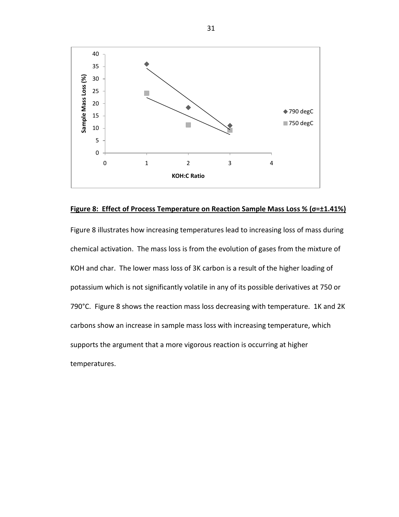

#### **Figure 8: Effect of Process Temperature on Reaction Sample Mass Loss % (σ=±1.41%)**

Figure 8 illustrates how increasing temperatures lead to increasing loss of mass during chemical activation. The mass loss is from the evolution of gases from the mixture of KOH and char. The lower mass loss of 3K carbon is a result of the higher loading of potassium which is not significantly volatile in any of its possible derivatives at 750 or 790°C. Figure 8 shows the reaction mass loss decreasing with temperature. 1K and 2K carbons show an increase in sample mass loss with increasing temperature, which supports the argument that a more vigorous reaction is occurring at higher temperatures.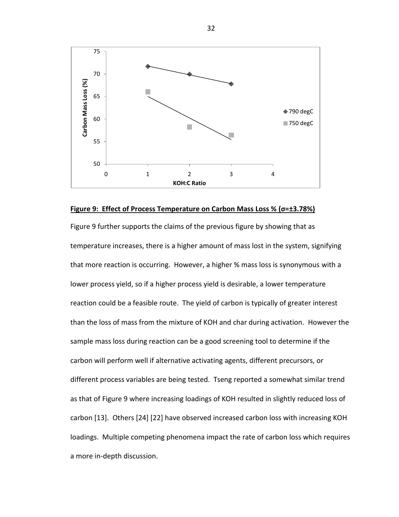

#### <span id="page-41-0"></span>**Figure 9: Effect of Process Temperature on Carbon Mass Loss % (σ=±3.78%)**

Figure 9 further supports the claims of the previous figure by showing that as temperature increases, there is a higher amount of mass lost in the system, signifying that more reaction is occurring. However, a higher % mass loss is synonymous with a lower process yield, so if a higher process yield is desirable, a lower temperature reaction could be a feasible route. The yield of carbon is typically of greater interest than the loss of mass from the mixture of KOH and char during activation. However the sample mass loss during reaction can be a good screening tool to determine if the carbon will perform well if alternative activating agents, different precursors, or different process variables are being tested. Tseng reported a somewhat similar trend as that of Figure 9 where increasing loadings of KOH resulted in slightly reduced loss of carbon [13]. Others [24] [22] have observed increased carbon loss with increasing KOH loadings. Multiple competing phenomena impact the rate of carbon loss which requires a more in-depth discussion.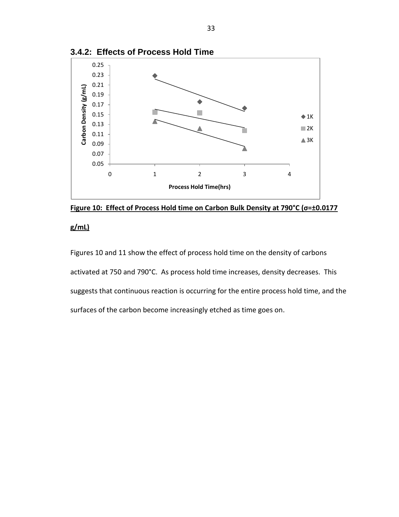

<span id="page-42-0"></span>**3.4.2: Effects of Process Hold Time**

<span id="page-42-1"></span>

#### **g/mL)**

Figures 10 and 11 show the effect of process hold time on the density of carbons activated at 750 and 790°C. As process hold time increases, density decreases. This suggests that continuous reaction is occurring for the entire process hold time, and the surfaces of the carbon become increasingly etched as time goes on.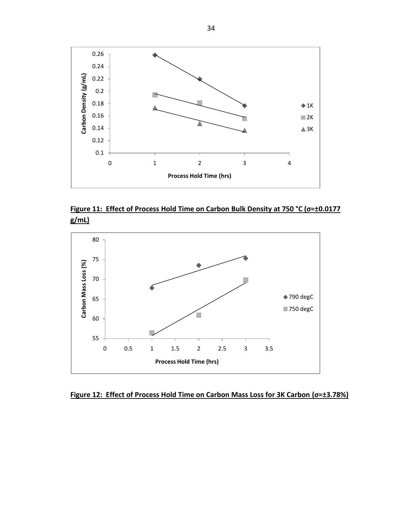

<span id="page-43-0"></span>



<span id="page-43-1"></span>**Figure 12: Effect of Process Hold Time on Carbon Mass Loss for 3K Carbon (σ=±3.78%)**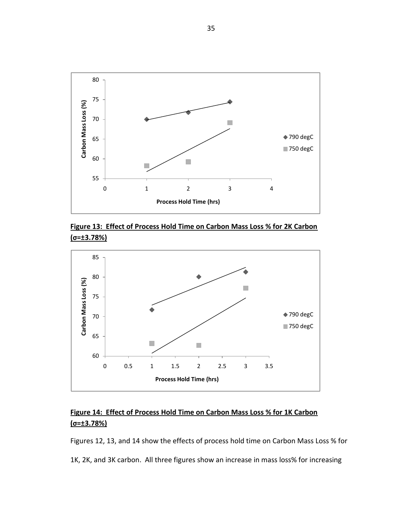

<span id="page-44-0"></span>**Figure 13: Effect of Process Hold Time on Carbon Mass Loss % for 2K Carbon (σ=±3.78%)**



### <span id="page-44-1"></span>**Figure 14: Effect of Process Hold Time on Carbon Mass Loss % for 1K Carbon (σ=±3.78%)**

Figures 12, 13, and 14 show the effects of process hold time on Carbon Mass Loss % for

1K, 2K, and 3K carbon. All three figures show an increase in mass loss% for increasing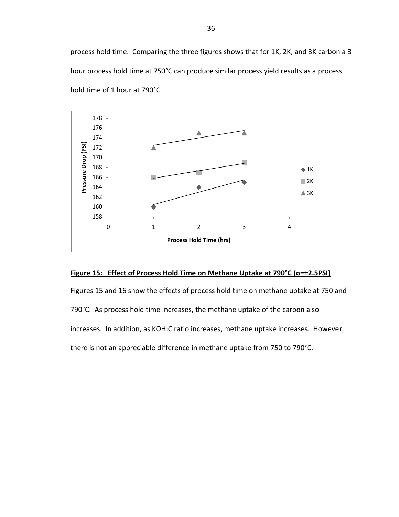process hold time. Comparing the three figures shows that for 1K, 2K, and 3K carbon a 3 hour process hold time at 750°C can produce similar process yield results as a process hold time of 1 hour at 790°C



#### <span id="page-45-0"></span>**Figure 15: Effect of Process Hold Time on Methane Uptake at 790°C (σ=±2.5PSI)**

Figures 15 and 16 show the effects of process hold time on methane uptake at 750 and 790°C. As process hold time increases, the methane uptake of the carbon also increases. In addition, as KOH:C ratio increases, methane uptake increases. However, there is not an appreciable difference in methane uptake from 750 to 790°C.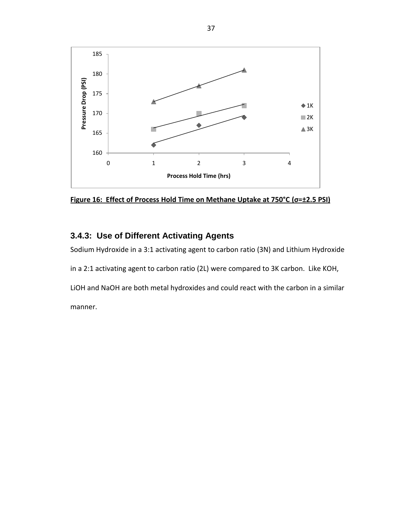

<span id="page-46-1"></span>**Figure 16: Effect of Process Hold Time on Methane Uptake at 750°C (σ=±2.5 PSI)**

## <span id="page-46-0"></span>**3.4.3: Use of Different Activating Agents**

Sodium Hydroxide in a 3:1 activating agent to carbon ratio (3N) and Lithium Hydroxide

in a 2:1 activating agent to carbon ratio (2L) were compared to 3K carbon. Like KOH,

LiOH and NaOH are both metal hydroxides and could react with the carbon in a similar manner.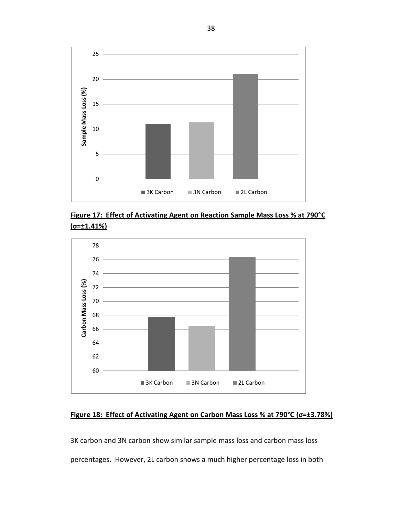

<span id="page-47-0"></span>



#### <span id="page-47-1"></span>**Figure 18: Effect of Activating Agent on Carbon Mass Loss % at 790°C (σ=±3.78%)**

3K carbon and 3N carbon show similar sample mass loss and carbon mass loss percentages. However, 2L carbon shows a much higher percentage loss in both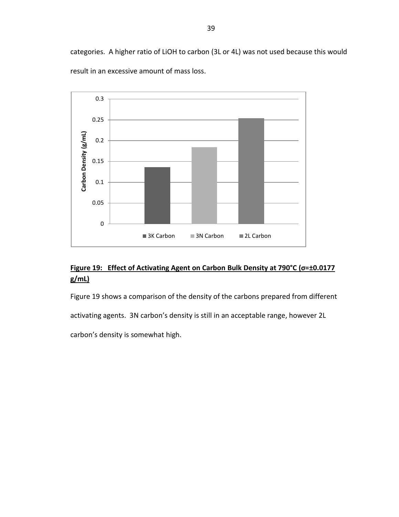categories. A higher ratio of LiOH to carbon (3L or 4L) was not used because this would result in an excessive amount of mass loss.



## <span id="page-48-0"></span>**Figure 19: Effect of Activating Agent on Carbon Bulk Density at 790°C (σ=±0.0177 g/mL)**

Figure 19 shows a comparison of the density of the carbons prepared from different

activating agents. 3N carbon's density is still in an acceptable range, however 2L

carbon's density is somewhat high.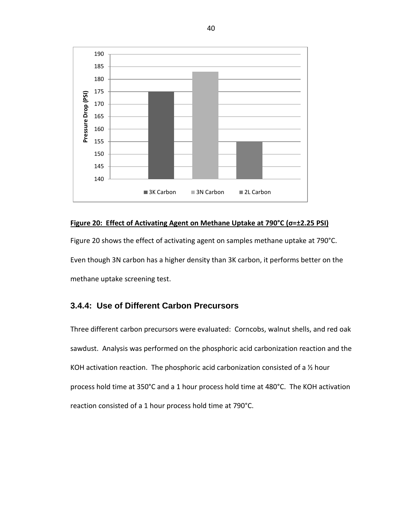

#### <span id="page-49-1"></span>**Figure 20: Effect of Activating Agent on Methane Uptake at 790°C (σ=±2.25 PSI)**

Figure 20 shows the effect of activating agent on samples methane uptake at 790°C. Even though 3N carbon has a higher density than 3K carbon, it performs better on the methane uptake screening test.

### <span id="page-49-0"></span>**3.4.4: Use of Different Carbon Precursors**

Three different carbon precursors were evaluated: Corncobs, walnut shells, and red oak sawdust. Analysis was performed on the phosphoric acid carbonization reaction and the KOH activation reaction. The phosphoric acid carbonization consisted of a  $\frac{1}{2}$  hour process hold time at 350°C and a 1 hour process hold time at 480°C. The KOH activation reaction consisted of a 1 hour process hold time at 790°C.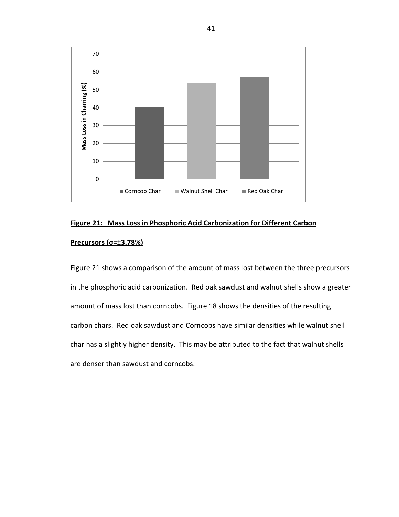

## <span id="page-50-0"></span>**Figure 21: Mass Loss in Phosphoric Acid Carbonization for Different Carbon Precursors (σ=±3.78%)**

Figure 21 shows a comparison of the amount of mass lost between the three precursors in the phosphoric acid carbonization. Red oak sawdust and walnut shells show a greater amount of mass lost than corncobs. Figure 18 shows the densities of the resulting carbon chars. Red oak sawdust and Corncobs have similar densities while walnut shell char has a slightly higher density. This may be attributed to the fact that walnut shells are denser than sawdust and corncobs.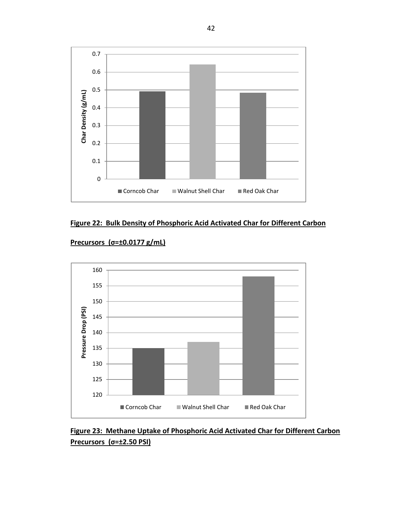

<span id="page-51-0"></span>



**Precursors (σ=±0.0177 g/mL)**

<span id="page-51-1"></span>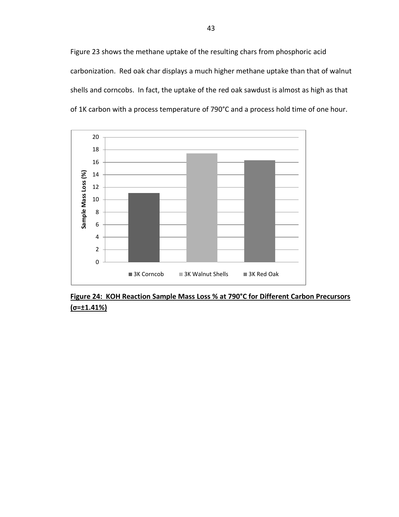Figure 23 shows the methane uptake of the resulting chars from phosphoric acid carbonization. Red oak char displays a much higher methane uptake than that of walnut shells and corncobs. In fact, the uptake of the red oak sawdust is almost as high as that of 1K carbon with a process temperature of 790°C and a process hold time of one hour.



<span id="page-52-0"></span>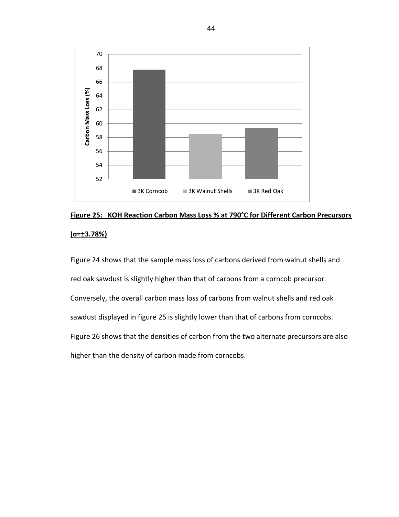

## <span id="page-53-0"></span>**Figure 25: KOH Reaction Carbon Mass Loss % at 790°C for Different Carbon Precursors (σ=±3.78%)**

Figure 24 shows that the sample mass loss of carbons derived from walnut shells and red oak sawdust is slightly higher than that of carbons from a corncob precursor. Conversely, the overall carbon mass loss of carbons from walnut shells and red oak sawdust displayed in figure 25 is slightly lower than that of carbons from corncobs. Figure 26 shows that the densities of carbon from the two alternate precursors are also higher than the density of carbon made from corncobs.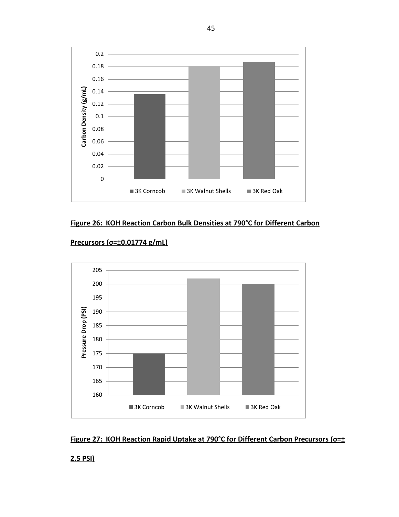

<span id="page-54-0"></span>



#### **Precursors (σ=±0.01774 g/mL)**

<span id="page-54-1"></span>

**2.5 PSI)**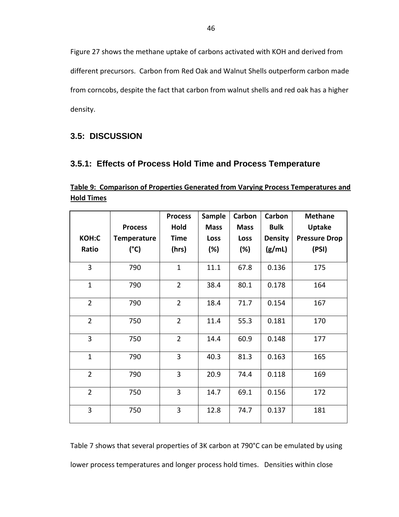Figure 27 shows the methane uptake of carbons activated with KOH and derived from different precursors. Carbon from Red Oak and Walnut Shells outperform carbon made from corncobs, despite the fact that carbon from walnut shells and red oak has a higher density.

### <span id="page-55-0"></span>**3.5: DISCUSSION**

### <span id="page-55-1"></span>**3.5.1: Effects of Process Hold Time and Process Temperature**

<span id="page-55-2"></span>

|                   | Table 9: Comparison of Properties Generated from Varying Process Temperatures and |  |  |  |
|-------------------|-----------------------------------------------------------------------------------|--|--|--|
| <b>Hold Times</b> |                                                                                   |  |  |  |

| KOH:C<br>Ratio | <b>Process</b><br><b>Temperature</b><br>(°C) | <b>Process</b><br>Hold<br><b>Time</b><br>(hrs) | <b>Sample</b><br><b>Mass</b><br><b>Loss</b><br>$(\%)$ | Carbon<br><b>Mass</b><br>Loss<br>(%) | Carbon<br><b>Bulk</b><br><b>Density</b><br>(g/mL) | <b>Methane</b><br><b>Uptake</b><br><b>Pressure Drop</b><br>(PSI) |
|----------------|----------------------------------------------|------------------------------------------------|-------------------------------------------------------|--------------------------------------|---------------------------------------------------|------------------------------------------------------------------|
| 3              | 790                                          | $\mathbf{1}$                                   | 11.1                                                  | 67.8                                 | 0.136                                             | 175                                                              |
| $\mathbf{1}$   | 790                                          | $\overline{2}$                                 | 38.4                                                  | 80.1                                 | 0.178                                             | 164                                                              |
| $\overline{2}$ | 790                                          | $\overline{2}$                                 | 18.4                                                  | 71.7                                 | 0.154                                             | 167                                                              |
| $\overline{2}$ | 750                                          | $\overline{2}$                                 | 11.4                                                  | 55.3                                 | 0.181                                             | 170                                                              |
| 3              | 750                                          | $\overline{2}$                                 | 14.4                                                  | 60.9                                 | 0.148                                             | 177                                                              |
| $\mathbf{1}$   | 790                                          | 3                                              | 40.3                                                  | 81.3                                 | 0.163                                             | 165                                                              |
| $\overline{2}$ | 790                                          | 3                                              | 20.9                                                  | 74.4                                 | 0.118                                             | 169                                                              |
| $\overline{2}$ | 750                                          | 3                                              | 14.7                                                  | 69.1                                 | 0.156                                             | 172                                                              |
| 3              | 750                                          | $\overline{3}$                                 | 12.8                                                  | 74.7                                 | 0.137                                             | 181                                                              |

Table 7 shows that several properties of 3K carbon at 790°C can be emulated by using lower process temperatures and longer process hold times. Densities within close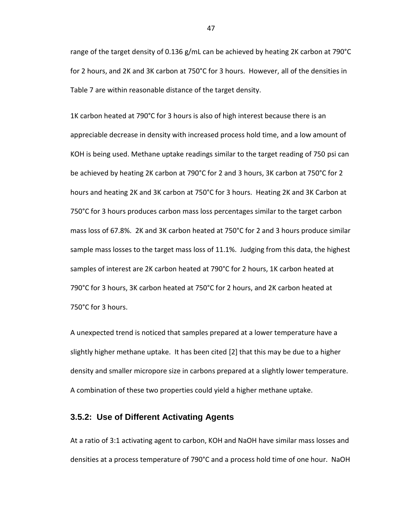range of the target density of 0.136 g/mL can be achieved by heating 2K carbon at 790°C for 2 hours, and 2K and 3K carbon at 750°C for 3 hours. However, all of the densities in Table 7 are within reasonable distance of the target density.

1K carbon heated at 790°C for 3 hours is also of high interest because there is an appreciable decrease in density with increased process hold time, and a low amount of KOH is being used. Methane uptake readings similar to the target reading of 750 psi can be achieved by heating 2K carbon at 790°C for 2 and 3 hours, 3K carbon at 750°C for 2 hours and heating 2K and 3K carbon at 750°C for 3 hours. Heating 2K and 3K Carbon at 750°C for 3 hours produces carbon mass loss percentages similar to the target carbon mass loss of 67.8%. 2K and 3K carbon heated at 750°C for 2 and 3 hours produce similar sample mass losses to the target mass loss of 11.1%. Judging from this data, the highest samples of interest are 2K carbon heated at 790°C for 2 hours, 1K carbon heated at 790°C for 3 hours, 3K carbon heated at 750°C for 2 hours, and 2K carbon heated at 750°C for 3 hours.

A unexpected trend is noticed that samples prepared at a lower temperature have a slightly higher methane uptake. It has been cited [2] that this may be due to a higher density and smaller micropore size in carbons prepared at a slightly lower temperature. A combination of these two properties could yield a higher methane uptake.

#### <span id="page-56-0"></span>**3.5.2: Use of Different Activating Agents**

At a ratio of 3:1 activating agent to carbon, KOH and NaOH have similar mass losses and densities at a process temperature of 790°C and a process hold time of one hour. NaOH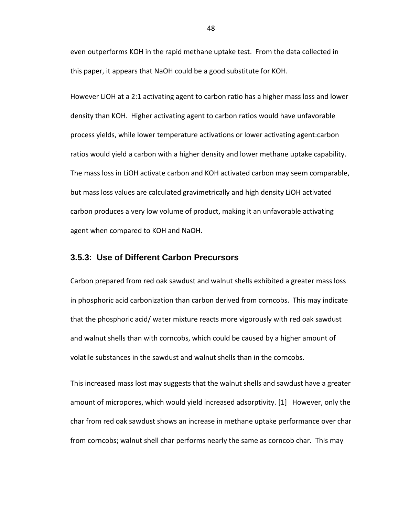even outperforms KOH in the rapid methane uptake test. From the data collected in this paper, it appears that NaOH could be a good substitute for KOH.

However LiOH at a 2:1 activating agent to carbon ratio has a higher mass loss and lower density than KOH. Higher activating agent to carbon ratios would have unfavorable process yields, while lower temperature activations or lower activating agent:carbon ratios would yield a carbon with a higher density and lower methane uptake capability. The mass loss in LiOH activate carbon and KOH activated carbon may seem comparable, but mass loss values are calculated gravimetrically and high density LiOH activated carbon produces a very low volume of product, making it an unfavorable activating agent when compared to KOH and NaOH.

#### <span id="page-57-0"></span>**3.5.3: Use of Different Carbon Precursors**

Carbon prepared from red oak sawdust and walnut shells exhibited a greater mass loss in phosphoric acid carbonization than carbon derived from corncobs. This may indicate that the phosphoric acid/ water mixture reacts more vigorously with red oak sawdust and walnut shells than with corncobs, which could be caused by a higher amount of volatile substances in the sawdust and walnut shells than in the corncobs.

This increased mass lost may suggests that the walnut shells and sawdust have a greater amount of micropores, which would yield increased adsorptivity. [1] However, only the char from red oak sawdust shows an increase in methane uptake performance over char from corncobs; walnut shell char performs nearly the same as corncob char. This may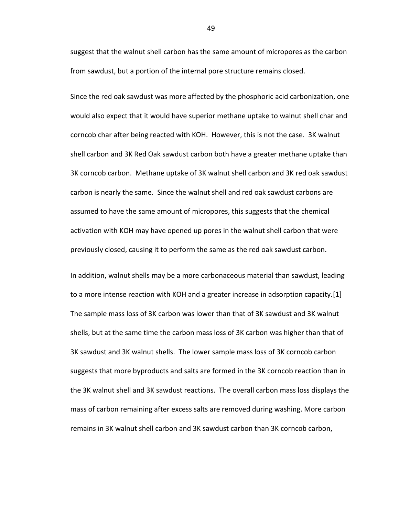suggest that the walnut shell carbon has the same amount of micropores as the carbon from sawdust, but a portion of the internal pore structure remains closed.

Since the red oak sawdust was more affected by the phosphoric acid carbonization, one would also expect that it would have superior methane uptake to walnut shell char and corncob char after being reacted with KOH. However, this is not the case. 3K walnut shell carbon and 3K Red Oak sawdust carbon both have a greater methane uptake than 3K corncob carbon. Methane uptake of 3K walnut shell carbon and 3K red oak sawdust carbon is nearly the same. Since the walnut shell and red oak sawdust carbons are assumed to have the same amount of micropores, this suggests that the chemical activation with KOH may have opened up pores in the walnut shell carbon that were previously closed, causing it to perform the same as the red oak sawdust carbon.

In addition, walnut shells may be a more carbonaceous material than sawdust, leading to a more intense reaction with KOH and a greater increase in adsorption capacity.[1] The sample mass loss of 3K carbon was lower than that of 3K sawdust and 3K walnut shells, but at the same time the carbon mass loss of 3K carbon was higher than that of 3K sawdust and 3K walnut shells. The lower sample mass loss of 3K corncob carbon suggests that more byproducts and salts are formed in the 3K corncob reaction than in the 3K walnut shell and 3K sawdust reactions. The overall carbon mass loss displays the mass of carbon remaining after excess salts are removed during washing. More carbon remains in 3K walnut shell carbon and 3K sawdust carbon than 3K corncob carbon,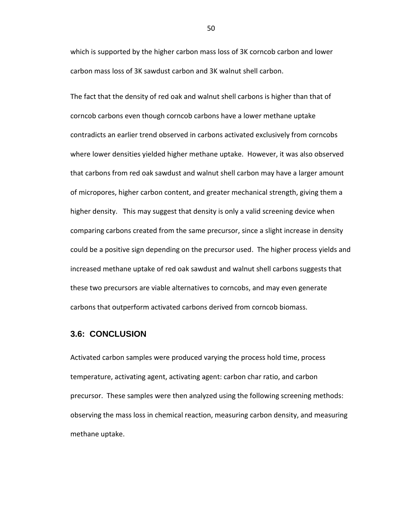which is supported by the higher carbon mass loss of 3K corncob carbon and lower carbon mass loss of 3K sawdust carbon and 3K walnut shell carbon.

The fact that the density of red oak and walnut shell carbons is higher than that of corncob carbons even though corncob carbons have a lower methane uptake contradicts an earlier trend observed in carbons activated exclusively from corncobs where lower densities yielded higher methane uptake. However, it was also observed that carbons from red oak sawdust and walnut shell carbon may have a larger amount of micropores, higher carbon content, and greater mechanical strength, giving them a higher density. This may suggest that density is only a valid screening device when comparing carbons created from the same precursor, since a slight increase in density could be a positive sign depending on the precursor used. The higher process yields and increased methane uptake of red oak sawdust and walnut shell carbons suggests that these two precursors are viable alternatives to corncobs, and may even generate carbons that outperform activated carbons derived from corncob biomass.

#### <span id="page-59-0"></span>**3.6: CONCLUSION**

Activated carbon samples were produced varying the process hold time, process temperature, activating agent, activating agent: carbon char ratio, and carbon precursor. These samples were then analyzed using the following screening methods: observing the mass loss in chemical reaction, measuring carbon density, and measuring methane uptake.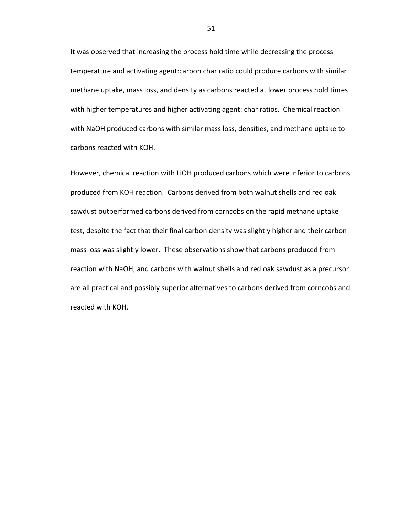It was observed that increasing the process hold time while decreasing the process temperature and activating agent:carbon char ratio could produce carbons with similar methane uptake, mass loss, and density as carbons reacted at lower process hold times with higher temperatures and higher activating agent: char ratios. Chemical reaction with NaOH produced carbons with similar mass loss, densities, and methane uptake to carbons reacted with KOH.

However, chemical reaction with LiOH produced carbons which were inferior to carbons produced from KOH reaction. Carbons derived from both walnut shells and red oak sawdust outperformed carbons derived from corncobs on the rapid methane uptake test, despite the fact that their final carbon density was slightly higher and their carbon mass loss was slightly lower. These observations show that carbons produced from reaction with NaOH, and carbons with walnut shells and red oak sawdust as a precursor are all practical and possibly superior alternatives to carbons derived from corncobs and reacted with KOH.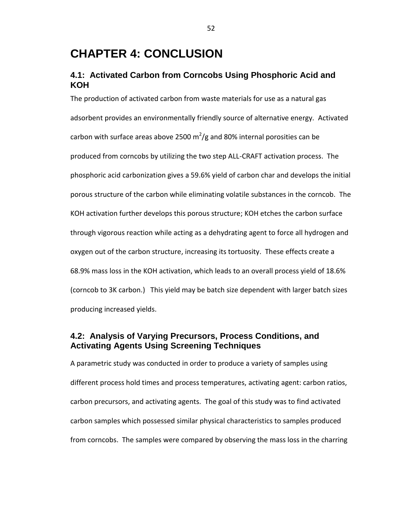## <span id="page-61-0"></span>**CHAPTER 4: CONCLUSION**

### <span id="page-61-1"></span>**4.1: Activated Carbon from Corncobs Using Phosphoric Acid and KOH**

The production of activated carbon from waste materials for use as a natural gas adsorbent provides an environmentally friendly source of alternative energy. Activated carbon with surface areas above 2500  $m^2/g$  and 80% internal porosities can be produced from corncobs by utilizing the two step ALL-CRAFT activation process. The phosphoric acid carbonization gives a 59.6% yield of carbon char and develops the initial porous structure of the carbon while eliminating volatile substances in the corncob. The KOH activation further develops this porous structure; KOH etches the carbon surface through vigorous reaction while acting as a dehydrating agent to force all hydrogen and oxygen out of the carbon structure, increasing its tortuosity. These effects create a 68.9% mass loss in the KOH activation, which leads to an overall process yield of 18.6% (corncob to 3K carbon.) This yield may be batch size dependent with larger batch sizes producing increased yields.

#### <span id="page-61-2"></span>**4.2: Analysis of Varying Precursors, Process Conditions, and Activating Agents Using Screening Techniques**

A parametric study was conducted in order to produce a variety of samples using different process hold times and process temperatures, activating agent: carbon ratios, carbon precursors, and activating agents. The goal of this study was to find activated carbon samples which possessed similar physical characteristics to samples produced from corncobs. The samples were compared by observing the mass loss in the charring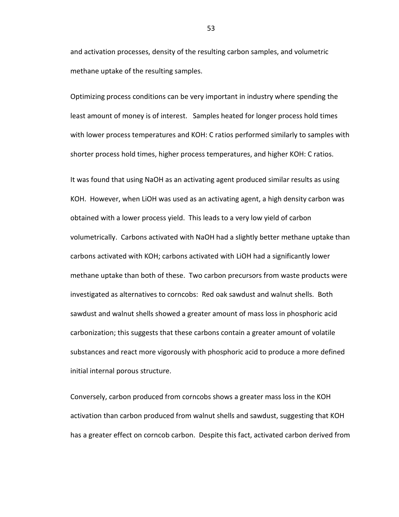and activation processes, density of the resulting carbon samples, and volumetric methane uptake of the resulting samples.

Optimizing process conditions can be very important in industry where spending the least amount of money is of interest. Samples heated for longer process hold times with lower process temperatures and KOH: C ratios performed similarly to samples with shorter process hold times, higher process temperatures, and higher KOH: C ratios.

It was found that using NaOH as an activating agent produced similar results as using KOH. However, when LiOH was used as an activating agent, a high density carbon was obtained with a lower process yield. This leads to a very low yield of carbon volumetrically. Carbons activated with NaOH had a slightly better methane uptake than carbons activated with KOH; carbons activated with LiOH had a significantly lower methane uptake than both of these. Two carbon precursors from waste products were investigated as alternatives to corncobs: Red oak sawdust and walnut shells. Both sawdust and walnut shells showed a greater amount of mass loss in phosphoric acid carbonization; this suggests that these carbons contain a greater amount of volatile substances and react more vigorously with phosphoric acid to produce a more defined initial internal porous structure.

Conversely, carbon produced from corncobs shows a greater mass loss in the KOH activation than carbon produced from walnut shells and sawdust, suggesting that KOH has a greater effect on corncob carbon. Despite this fact, activated carbon derived from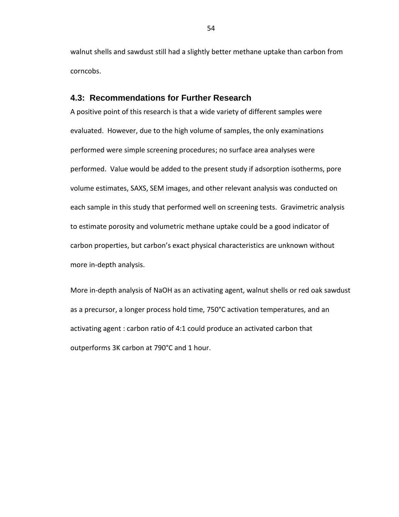walnut shells and sawdust still had a slightly better methane uptake than carbon from corncobs.

#### <span id="page-63-0"></span>**4.3: Recommendations for Further Research**

A positive point of this research is that a wide variety of different samples were evaluated. However, due to the high volume of samples, the only examinations performed were simple screening procedures; no surface area analyses were performed. Value would be added to the present study if adsorption isotherms, pore volume estimates, SAXS, SEM images, and other relevant analysis was conducted on each sample in this study that performed well on screening tests. Gravimetric analysis to estimate porosity and volumetric methane uptake could be a good indicator of carbon properties, but carbon's exact physical characteristics are unknown without more in-depth analysis.

More in-depth analysis of NaOH as an activating agent, walnut shells or red oak sawdust as a precursor, a longer process hold time, 750°C activation temperatures, and an activating agent : carbon ratio of 4:1 could produce an activated carbon that outperforms 3K carbon at 790°C and 1 hour.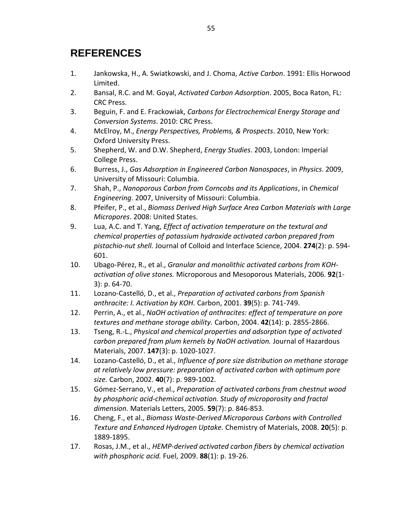## <span id="page-64-0"></span>**REFERENCES**

- 1. Jankowska, H., A. Swiatkowski, and J. Choma, *Active Carbon*. 1991: Ellis Horwood Limited.
- 2. Bansal, R.C. and M. Goyal, *Activated Carbon Adsorption*. 2005, Boca Raton, FL: CRC Press.
- 3. Beguin, F. and E. Frackowiak, *Carbons for Electrochemical Energy Storage and Conversion Systems*. 2010: CRC Press.
- 4. McElroy, M., *Energy Perspectives, Problems, & Prospects*. 2010, New York: Oxford University Press.
- 5. Shepherd, W. and D.W. Shepherd, *Energy Studies*. 2003, London: Imperial College Press.
- 6. Burress, J., *Gas Adsorption in Engineered Carbon Nanospaces*, in *Physics*. 2009, University of Missouri: Columbia.
- 7. Shah, P., *Nanoporous Carbon from Corncobs and its Applications*, in *Chemical Engineering*. 2007, University of Missouri: Columbia.
- 8. Pfeifer, P., et al., *Biomass Derived High Surface Area Carbon Materials with Large Micropores*. 2008: United States.
- 9. Lua, A.C. and T. Yang, *Effect of activation temperature on the textural and chemical properties of potassium hydroxide activated carbon prepared from pistachio-nut shell.* Journal of Colloid and Interface Science, 2004. **274**(2): p. 594- 601.
- 10. Ubago-Pérez, R., et al., *Granular and monolithic activated carbons from KOHactivation of olive stones.* Microporous and Mesoporous Materials, 2006. **92**(1- 3): p. 64-70.
- 11. Lozano-Castelló, D., et al., *Preparation of activated carbons from Spanish anthracite: I. Activation by KOH.* Carbon, 2001. **39**(5): p. 741-749.
- 12. Perrin, A., et al., *NaOH activation of anthracites: effect of temperature on pore textures and methane storage ability.* Carbon, 2004. **42**(14): p. 2855-2866.
- 13. Tseng, R.-L., *Physical and chemical properties and adsorption type of activated carbon prepared from plum kernels by NaOH activation.* Journal of Hazardous Materials, 2007. **147**(3): p. 1020-1027.
- 14. Lozano-Castelló, D., et al., *Influence of pore size distribution on methane storage at relatively low pressure: preparation of activated carbon with optimum pore size.* Carbon, 2002. **40**(7): p. 989-1002.
- 15. Gómez-Serrano, V., et al., *Preparation of activated carbons from chestnut wood by phosphoric acid-chemical activation. Study of microporosity and fractal dimension.* Materials Letters, 2005. **59**(7): p. 846-853.
- 16. Cheng, F., et al., *Biomass Waste-Derived Microporous Carbons with Controlled Texture and Enhanced Hydrogen Uptake.* Chemistry of Materials, 2008. **20**(5): p. 1889-1895.
- 17. Rosas, J.M., et al., *HEMP-derived activated carbon fibers by chemical activation with phosphoric acid.* Fuel, 2009. **88**(1): p. 19-26.